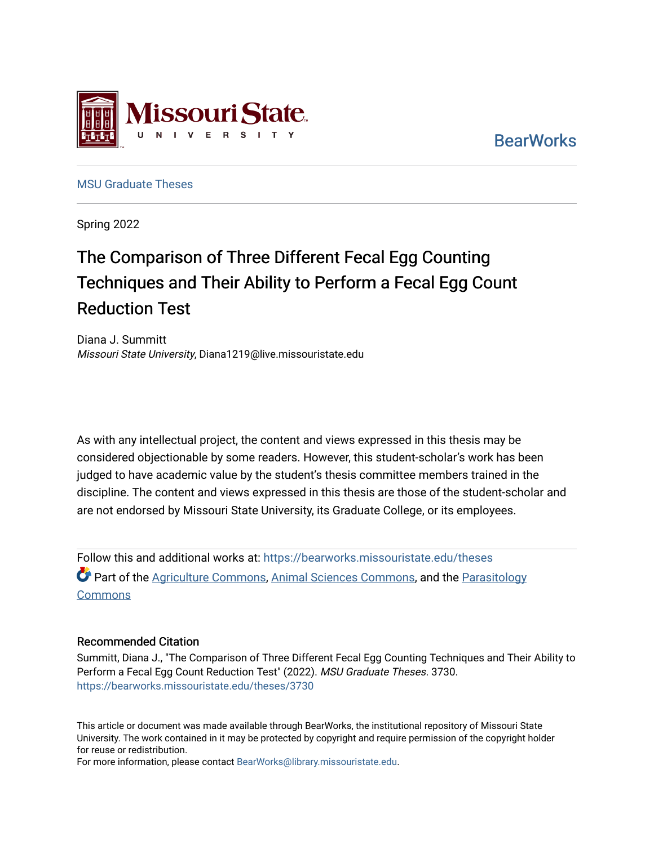

**BearWorks** 

[MSU Graduate Theses](https://bearworks.missouristate.edu/theses) 

Spring 2022

# The Comparison of Three Different Fecal Egg Counting Techniques and Their Ability to Perform a Fecal Egg Count Reduction Test

Diana J. Summitt Missouri State University, Diana1219@live.missouristate.edu

As with any intellectual project, the content and views expressed in this thesis may be considered objectionable by some readers. However, this student-scholar's work has been judged to have academic value by the student's thesis committee members trained in the discipline. The content and views expressed in this thesis are those of the student-scholar and are not endorsed by Missouri State University, its Graduate College, or its employees.

Follow this and additional works at: [https://bearworks.missouristate.edu/theses](https://bearworks.missouristate.edu/theses?utm_source=bearworks.missouristate.edu%2Ftheses%2F3730&utm_medium=PDF&utm_campaign=PDFCoverPages)  **C** Part of the [Agriculture Commons](http://network.bepress.com/hgg/discipline/1076?utm_source=bearworks.missouristate.edu%2Ftheses%2F3730&utm_medium=PDF&utm_campaign=PDFCoverPages), [Animal Sciences Commons,](http://network.bepress.com/hgg/discipline/76?utm_source=bearworks.missouristate.edu%2Ftheses%2F3730&utm_medium=PDF&utm_campaign=PDFCoverPages) and the [Parasitology](http://network.bepress.com/hgg/discipline/39?utm_source=bearworks.missouristate.edu%2Ftheses%2F3730&utm_medium=PDF&utm_campaign=PDFCoverPages) **Commons** 

#### Recommended Citation

Summitt, Diana J., "The Comparison of Three Different Fecal Egg Counting Techniques and Their Ability to Perform a Fecal Egg Count Reduction Test" (2022). MSU Graduate Theses. 3730. [https://bearworks.missouristate.edu/theses/3730](https://bearworks.missouristate.edu/theses/3730?utm_source=bearworks.missouristate.edu%2Ftheses%2F3730&utm_medium=PDF&utm_campaign=PDFCoverPages) 

This article or document was made available through BearWorks, the institutional repository of Missouri State University. The work contained in it may be protected by copyright and require permission of the copyright holder for reuse or redistribution.

For more information, please contact [BearWorks@library.missouristate.edu.](mailto:BearWorks@library.missouristate.edu)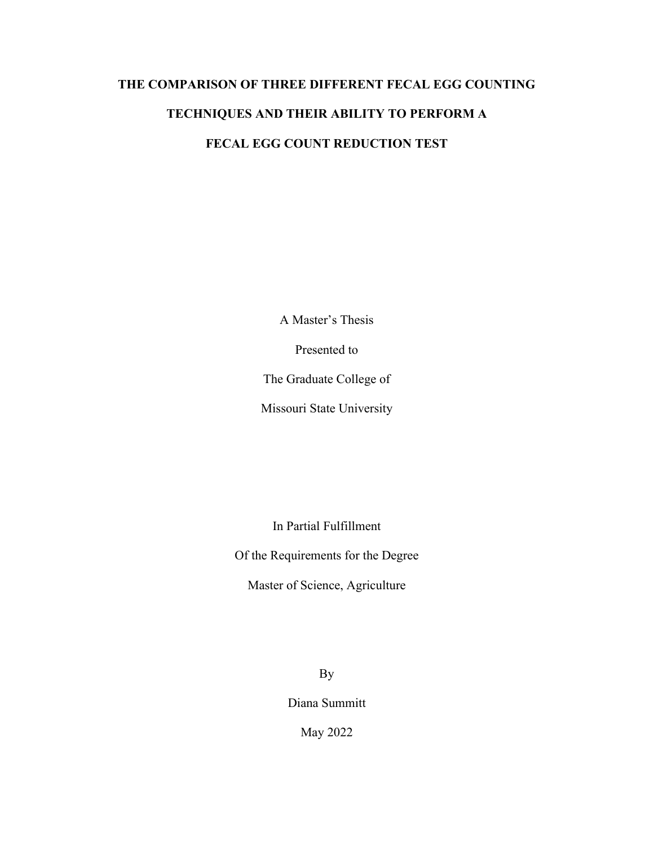# **THE COMPARISON OF THREE DIFFERENT FECAL EGG COUNTING TECHNIQUES AND THEIR ABILITY TO PERFORM A FECAL EGG COUNT REDUCTION TEST**

A Master's Thesis

Presented to

The Graduate College of

Missouri State University

In Partial Fulfillment

Of the Requirements for the Degree

Master of Science, Agriculture

By

Diana Summitt

May 2022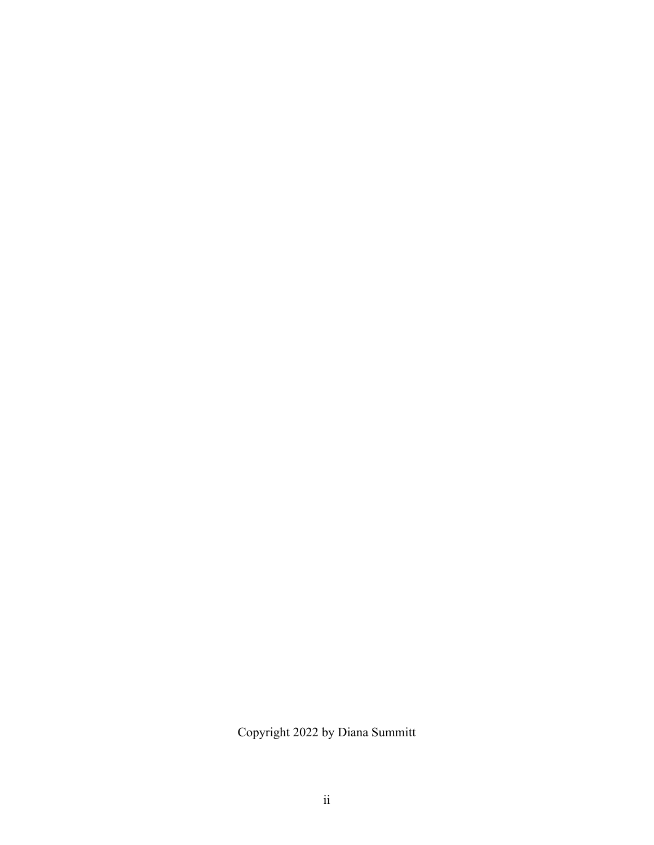Copyright 2022 by Diana Summitt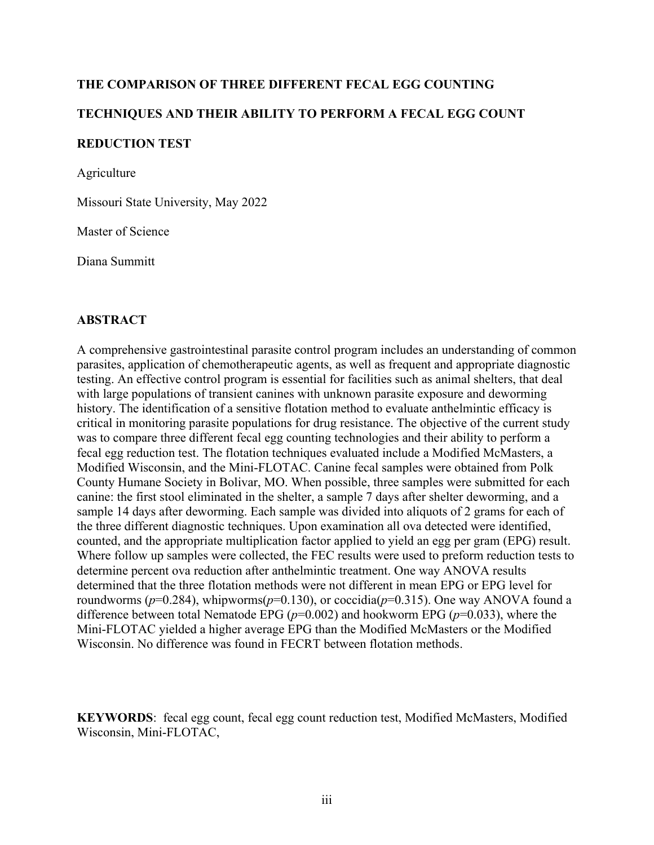## **THE COMPARISON OF THREE DIFFERENT FECAL EGG COUNTING**

# **TECHNIQUES AND THEIR ABILITY TO PERFORM A FECAL EGG COUNT**

#### **REDUCTION TEST**

Agriculture

Missouri State University, May 2022

Master of Science

Diana Summitt

## **ABSTRACT**

A comprehensive gastrointestinal parasite control program includes an understanding of common parasites, application of chemotherapeutic agents, as well as frequent and appropriate diagnostic testing. An effective control program is essential for facilities such as animal shelters, that deal with large populations of transient canines with unknown parasite exposure and deworming history. The identification of a sensitive flotation method to evaluate anthelmintic efficacy is critical in monitoring parasite populations for drug resistance. The objective of the current study was to compare three different fecal egg counting technologies and their ability to perform a fecal egg reduction test. The flotation techniques evaluated include a Modified McMasters, a Modified Wisconsin, and the Mini-FLOTAC. Canine fecal samples were obtained from Polk County Humane Society in Bolivar, MO. When possible, three samples were submitted for each canine: the first stool eliminated in the shelter, a sample 7 days after shelter deworming, and a sample 14 days after deworming. Each sample was divided into aliquots of 2 grams for each of the three different diagnostic techniques. Upon examination all ova detected were identified, counted, and the appropriate multiplication factor applied to yield an egg per gram (EPG) result. Where follow up samples were collected, the FEC results were used to preform reduction tests to determine percent ova reduction after anthelmintic treatment. One way ANOVA results determined that the three flotation methods were not different in mean EPG or EPG level for roundworms ( $p=0.284$ ), whipworms( $p=0.130$ ), or coccidia( $p=0.315$ ). One way ANOVA found a difference between total Nematode EPG (*p*=0.002) and hookworm EPG (*p*=0.033), where the Mini-FLOTAC yielded a higher average EPG than the Modified McMasters or the Modified Wisconsin. No difference was found in FECRT between flotation methods.

**KEYWORDS**: fecal egg count, fecal egg count reduction test, Modified McMasters, Modified Wisconsin, Mini-FLOTAC,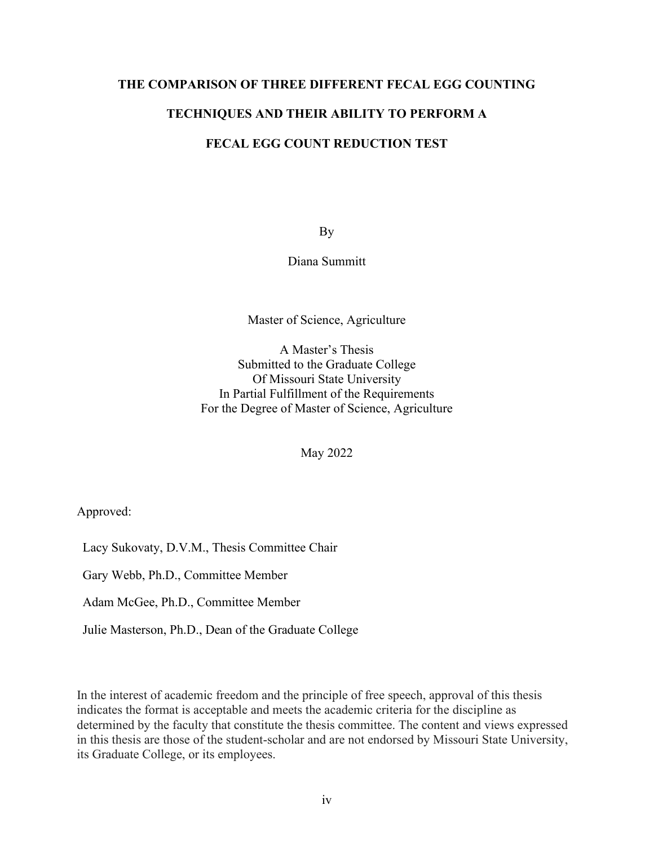# **THE COMPARISON OF THREE DIFFERENT FECAL EGG COUNTING**

# **TECHNIQUES AND THEIR ABILITY TO PERFORM A**

# **FECAL EGG COUNT REDUCTION TEST**

By

Diana Summitt

Master of Science, Agriculture

A Master's Thesis Submitted to the Graduate College Of Missouri State University In Partial Fulfillment of the Requirements For the Degree of Master of Science, Agriculture

May 2022

Approved:

Lacy Sukovaty, D.V.M., Thesis Committee Chair

Gary Webb, Ph.D., Committee Member

Adam McGee, Ph.D., Committee Member

Julie Masterson, Ph.D., Dean of the Graduate College

In the interest of academic freedom and the principle of free speech, approval of this thesis indicates the format is acceptable and meets the academic criteria for the discipline as determined by the faculty that constitute the thesis committee. The content and views expressed in this thesis are those of the student-scholar and are not endorsed by Missouri State University, its Graduate College, or its employees.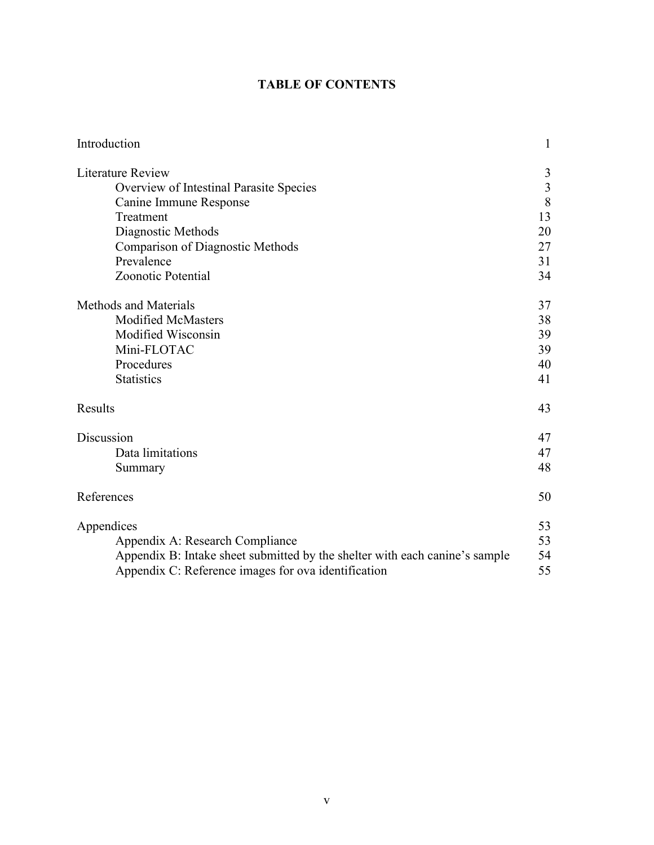# **TABLE OF CONTENTS**

| Introduction                                                                | 1              |
|-----------------------------------------------------------------------------|----------------|
| <b>Literature Review</b>                                                    | 3              |
| Overview of Intestinal Parasite Species                                     | $\overline{3}$ |
| Canine Immune Response                                                      | 8              |
| Treatment                                                                   | 13             |
| Diagnostic Methods                                                          | 20             |
| <b>Comparison of Diagnostic Methods</b>                                     | 27             |
| Prevalence                                                                  | 31             |
| Zoonotic Potential                                                          | 34             |
| <b>Methods and Materials</b>                                                | 37             |
| <b>Modified McMasters</b>                                                   | 38             |
| Modified Wisconsin                                                          | 39             |
| Mini-FLOTAC                                                                 | 39             |
| Procedures                                                                  | 40             |
| <b>Statistics</b>                                                           | 41             |
| <b>Results</b>                                                              | 43             |
| Discussion                                                                  | 47             |
| Data limitations                                                            | 47             |
| Summary                                                                     | 48             |
| References                                                                  | 50             |
| Appendices                                                                  | 53             |
| Appendix A: Research Compliance                                             | 53             |
| Appendix B: Intake sheet submitted by the shelter with each canine's sample | 54             |
| Appendix C: Reference images for ova identification                         | 55             |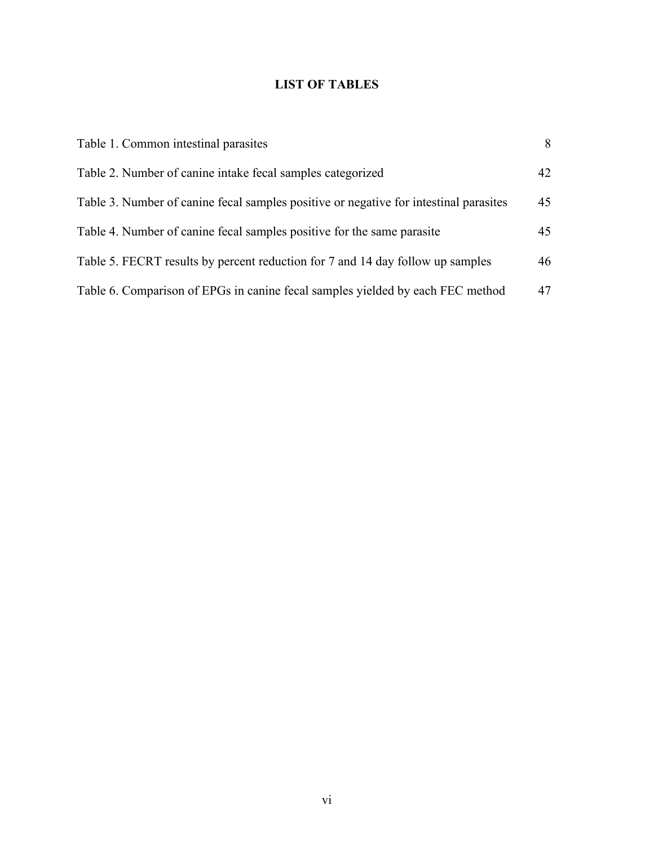# **LIST OF TABLES**

| Table 1. Common intestinal parasites                                                  | 8  |
|---------------------------------------------------------------------------------------|----|
| Table 2. Number of canine intake fecal samples categorized                            | 42 |
| Table 3. Number of canine fecal samples positive or negative for intestinal parasites | 45 |
| Table 4. Number of canine fecal samples positive for the same parasite                | 45 |
| Table 5. FECRT results by percent reduction for 7 and 14 day follow up samples        | 46 |
| Table 6. Comparison of EPGs in canine fecal samples yielded by each FEC method        | 47 |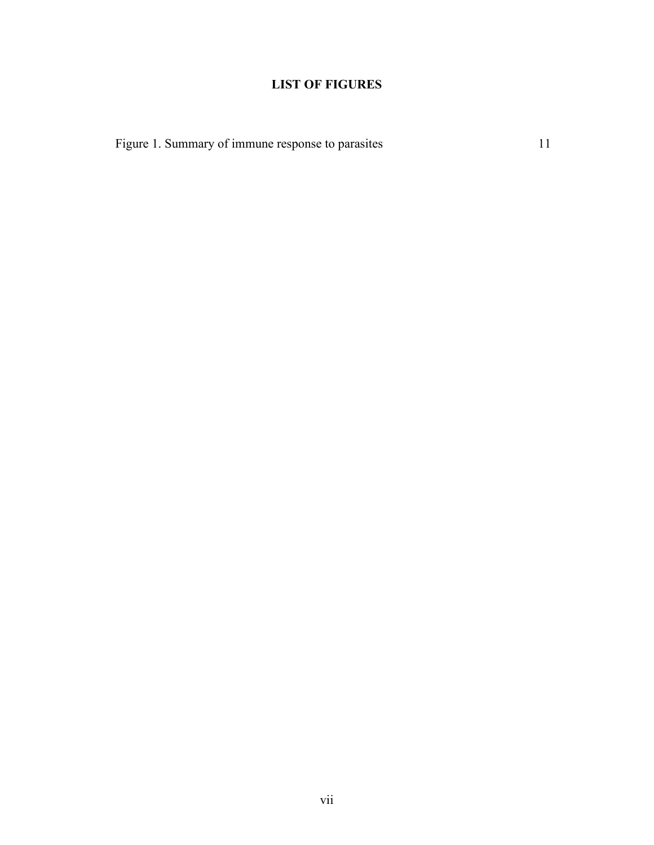# **LIST OF FIGURES**

Figure 1. Summary of immune response to parasites 11

vii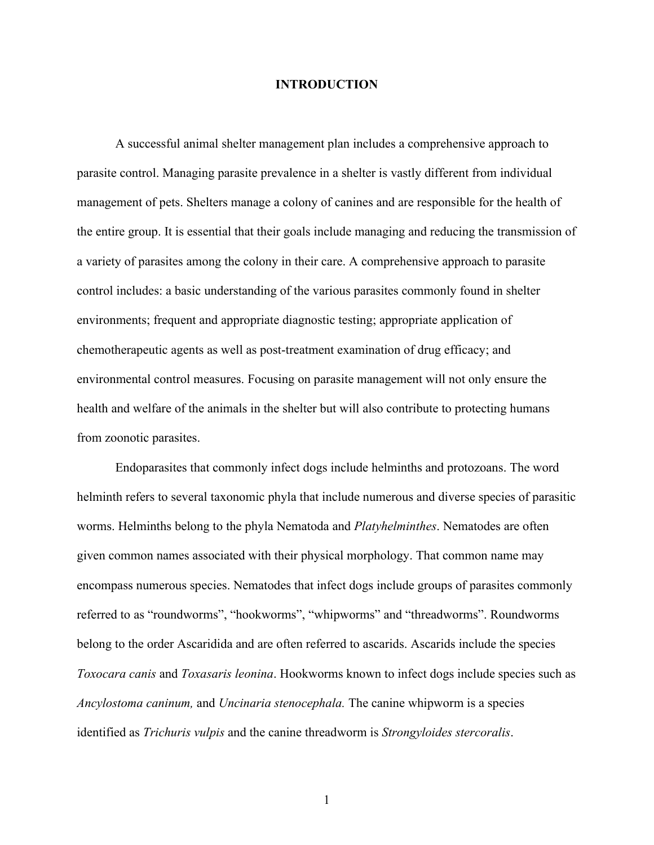#### **INTRODUCTION**

A successful animal shelter management plan includes a comprehensive approach to parasite control. Managing parasite prevalence in a shelter is vastly different from individual management of pets. Shelters manage a colony of canines and are responsible for the health of the entire group. It is essential that their goals include managing and reducing the transmission of a variety of parasites among the colony in their care. A comprehensive approach to parasite control includes: a basic understanding of the various parasites commonly found in shelter environments; frequent and appropriate diagnostic testing; appropriate application of chemotherapeutic agents as well as post-treatment examination of drug efficacy; and environmental control measures. Focusing on parasite management will not only ensure the health and welfare of the animals in the shelter but will also contribute to protecting humans from zoonotic parasites.

Endoparasites that commonly infect dogs include helminths and protozoans. The word helminth refers to several taxonomic phyla that include numerous and diverse species of parasitic worms. Helminths belong to the phyla Nematoda and *Platyhelminthes*. Nematodes are often given common names associated with their physical morphology. That common name may encompass numerous species. Nematodes that infect dogs include groups of parasites commonly referred to as "roundworms", "hookworms", "whipworms" and "threadworms". Roundworms belong to the order Ascaridida and are often referred to ascarids. Ascarids include the species *Toxocara canis* and *Toxasaris leonina*. Hookworms known to infect dogs include species such as *Ancylostoma caninum,* and *Uncinaria stenocephala.* The canine whipworm is a species identified as *Trichuris vulpis* and the canine threadworm is *Strongyloides stercoralis*.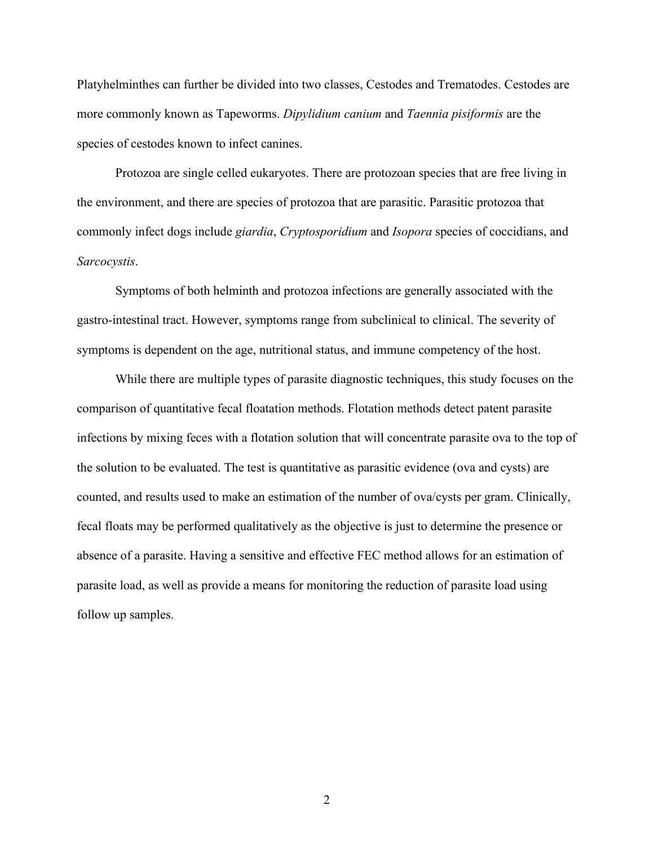Platyhelminthes can further be divided into two classes, Cestodes and Trematodes. Cestodes are more commonly known as Tapeworms. *Dipylidium canium* and *Taennia pisiformis* are the species of cestodes known to infect canines.

Protozoa are single celled eukaryotes. There are protozoan species that are free living in the environment, and there are species of protozoa that are parasitic. Parasitic protozoa that commonly infect dogs include *giardia*, *Cryptosporidium* and *Isopora* species of coccidians, and *Sarcocystis*.

Symptoms of both helminth and protozoa infections are generally associated with the gastro-intestinal tract. However, symptoms range from subclinical to clinical. The severity of symptoms is dependent on the age, nutritional status, and immune competency of the host.

While there are multiple types of parasite diagnostic techniques, this study focuses on the comparison of quantitative fecal floatation methods. Flotation methods detect patent parasite infections by mixing feces with a flotation solution that will concentrate parasite ova to the top of the solution to be evaluated. The test is quantitative as parasitic evidence (ova and cysts) are counted, and results used to make an estimation of the number of ova/cysts per gram. Clinically, fecal floats may be performed qualitatively as the objective is just to determine the presence or absence of a parasite. Having a sensitive and effective FEC method allows for an estimation of parasite load, as well as provide a means for monitoring the reduction of parasite load using follow up samples.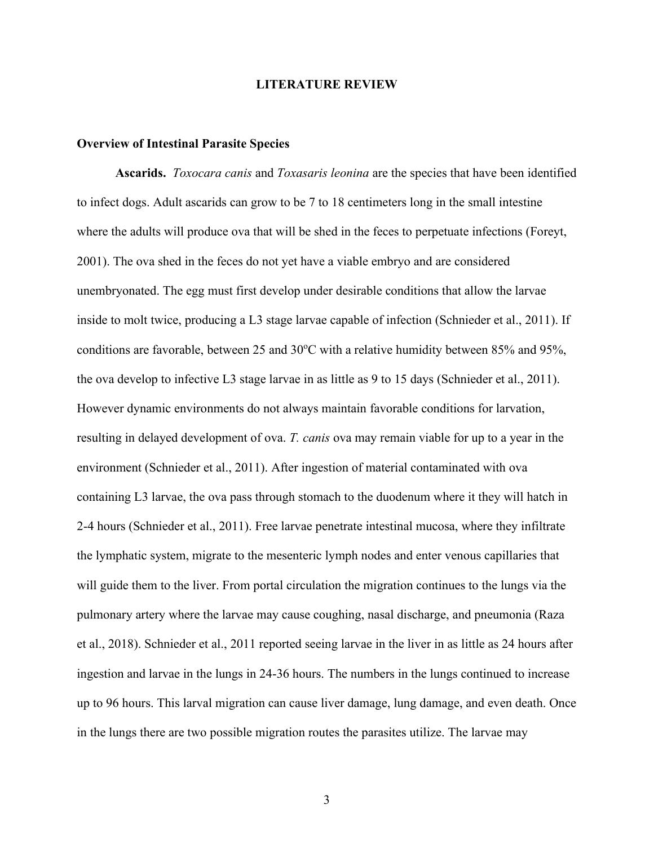#### **LITERATURE REVIEW**

#### **Overview of Intestinal Parasite Species**

**Ascarids.** *Toxocara canis* and *Toxasaris leonina* are the species that have been identified to infect dogs. Adult ascarids can grow to be 7 to 18 centimeters long in the small intestine where the adults will produce ova that will be shed in the feces to perpetuate infections (Foreyt, 2001). The ova shed in the feces do not yet have a viable embryo and are considered unembryonated. The egg must first develop under desirable conditions that allow the larvae inside to molt twice, producing a L3 stage larvae capable of infection (Schnieder et al., 2011). If conditions are favorable, between 25 and  $30^{\circ}$ C with a relative humidity between 85% and 95%, the ova develop to infective L3 stage larvae in as little as 9 to 15 days (Schnieder et al., 2011). However dynamic environments do not always maintain favorable conditions for larvation, resulting in delayed development of ova. *T. canis* ova may remain viable for up to a year in the environment (Schnieder et al., 2011). After ingestion of material contaminated with ova containing L3 larvae, the ova pass through stomach to the duodenum where it they will hatch in 2-4 hours (Schnieder et al., 2011). Free larvae penetrate intestinal mucosa, where they infiltrate the lymphatic system, migrate to the mesenteric lymph nodes and enter venous capillaries that will guide them to the liver. From portal circulation the migration continues to the lungs via the pulmonary artery where the larvae may cause coughing, nasal discharge, and pneumonia (Raza et al., 2018). Schnieder et al., 2011 reported seeing larvae in the liver in as little as 24 hours after ingestion and larvae in the lungs in 24-36 hours. The numbers in the lungs continued to increase up to 96 hours. This larval migration can cause liver damage, lung damage, and even death. Once in the lungs there are two possible migration routes the parasites utilize. The larvae may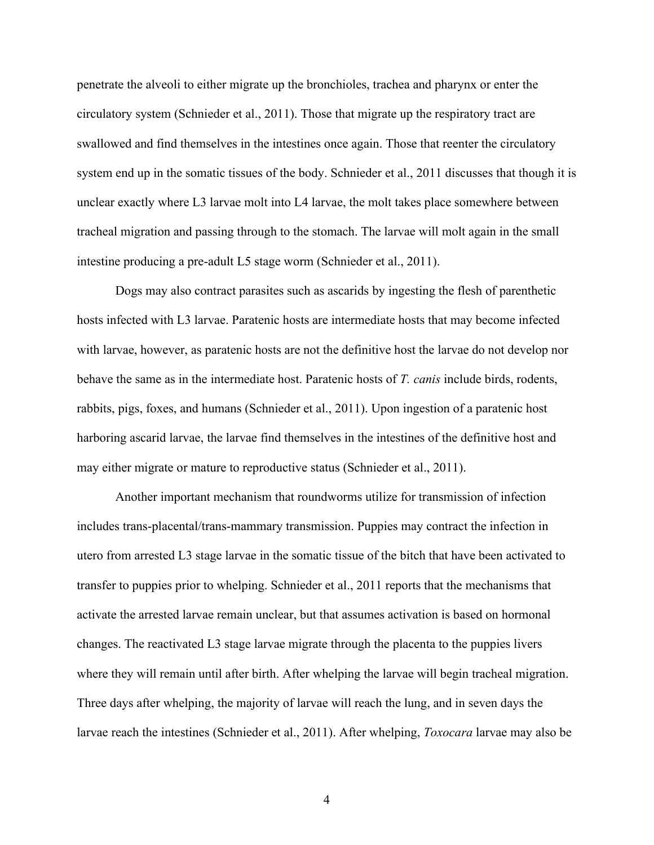penetrate the alveoli to either migrate up the bronchioles, trachea and pharynx or enter the circulatory system (Schnieder et al., 2011). Those that migrate up the respiratory tract are swallowed and find themselves in the intestines once again. Those that reenter the circulatory system end up in the somatic tissues of the body. Schnieder et al., 2011 discusses that though it is unclear exactly where L3 larvae molt into L4 larvae, the molt takes place somewhere between tracheal migration and passing through to the stomach. The larvae will molt again in the small intestine producing a pre-adult L5 stage worm (Schnieder et al., 2011).

Dogs may also contract parasites such as ascarids by ingesting the flesh of parenthetic hosts infected with L3 larvae. Paratenic hosts are intermediate hosts that may become infected with larvae, however, as paratenic hosts are not the definitive host the larvae do not develop nor behave the same as in the intermediate host. Paratenic hosts of *T. canis* include birds, rodents, rabbits, pigs, foxes, and humans (Schnieder et al., 2011). Upon ingestion of a paratenic host harboring ascarid larvae, the larvae find themselves in the intestines of the definitive host and may either migrate or mature to reproductive status (Schnieder et al., 2011).

Another important mechanism that roundworms utilize for transmission of infection includes trans-placental/trans-mammary transmission. Puppies may contract the infection in utero from arrested L3 stage larvae in the somatic tissue of the bitch that have been activated to transfer to puppies prior to whelping. Schnieder et al., 2011 reports that the mechanisms that activate the arrested larvae remain unclear, but that assumes activation is based on hormonal changes. The reactivated L3 stage larvae migrate through the placenta to the puppies livers where they will remain until after birth. After whelping the larvae will begin tracheal migration. Three days after whelping, the majority of larvae will reach the lung, and in seven days the larvae reach the intestines (Schnieder et al., 2011). After whelping, *Toxocara* larvae may also be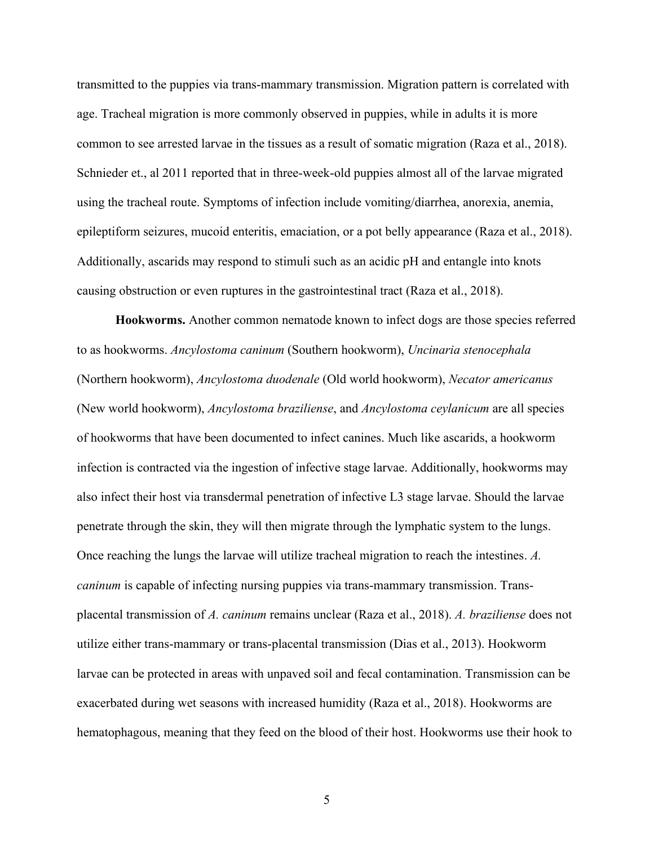transmitted to the puppies via trans-mammary transmission. Migration pattern is correlated with age. Tracheal migration is more commonly observed in puppies, while in adults it is more common to see arrested larvae in the tissues as a result of somatic migration (Raza et al., 2018). Schnieder et., al 2011 reported that in three-week-old puppies almost all of the larvae migrated using the tracheal route. Symptoms of infection include vomiting/diarrhea, anorexia, anemia, epileptiform seizures, mucoid enteritis, emaciation, or a pot belly appearance (Raza et al., 2018). Additionally, ascarids may respond to stimuli such as an acidic pH and entangle into knots causing obstruction or even ruptures in the gastrointestinal tract (Raza et al., 2018).

**Hookworms.** Another common nematode known to infect dogs are those species referred to as hookworms. *Ancylostoma caninum* (Southern hookworm), *Uncinaria stenocephala* (Northern hookworm), *Ancylostoma duodenale* (Old world hookworm), *Necator americanus* (New world hookworm), *Ancylostoma braziliense*, and *Ancylostoma ceylanicum* are all species of hookworms that have been documented to infect canines. Much like ascarids, a hookworm infection is contracted via the ingestion of infective stage larvae. Additionally, hookworms may also infect their host via transdermal penetration of infective L3 stage larvae. Should the larvae penetrate through the skin, they will then migrate through the lymphatic system to the lungs. Once reaching the lungs the larvae will utilize tracheal migration to reach the intestines. *A. caninum* is capable of infecting nursing puppies via trans-mammary transmission. Transplacental transmission of *A. caninum* remains unclear (Raza et al., 2018). *A. braziliense* does not utilize either trans-mammary or trans-placental transmission (Dias et al., 2013). Hookworm larvae can be protected in areas with unpaved soil and fecal contamination. Transmission can be exacerbated during wet seasons with increased humidity (Raza et al., 2018). Hookworms are hematophagous, meaning that they feed on the blood of their host. Hookworms use their hook to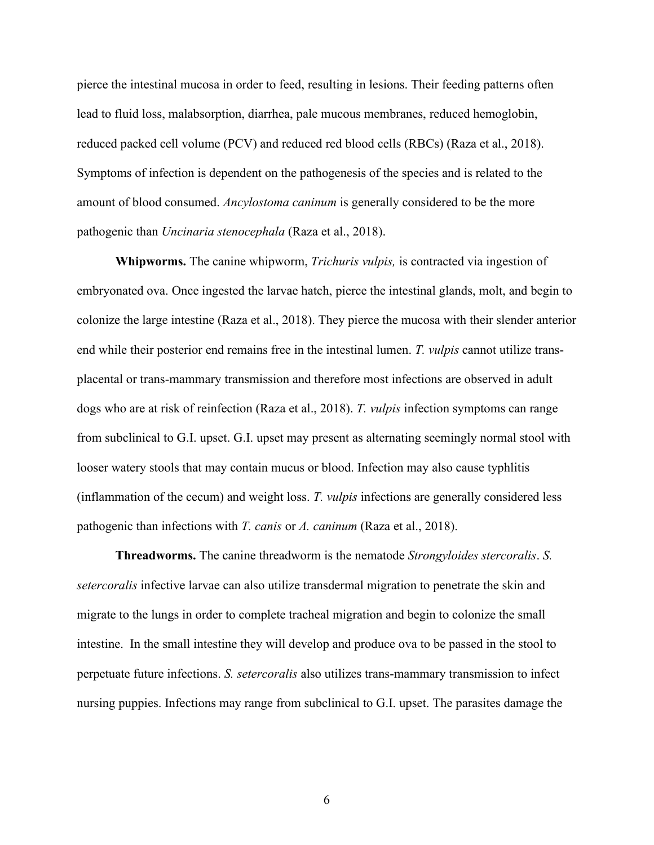pierce the intestinal mucosa in order to feed, resulting in lesions. Their feeding patterns often lead to fluid loss, malabsorption, diarrhea, pale mucous membranes, reduced hemoglobin, reduced packed cell volume (PCV) and reduced red blood cells (RBCs) (Raza et al., 2018). Symptoms of infection is dependent on the pathogenesis of the species and is related to the amount of blood consumed. *Ancylostoma caninum* is generally considered to be the more pathogenic than *Uncinaria stenocephala* (Raza et al., 2018).

**Whipworms.** The canine whipworm, *Trichuris vulpis,* is contracted via ingestion of embryonated ova. Once ingested the larvae hatch, pierce the intestinal glands, molt, and begin to colonize the large intestine (Raza et al., 2018). They pierce the mucosa with their slender anterior end while their posterior end remains free in the intestinal lumen. *T. vulpis* cannot utilize transplacental or trans-mammary transmission and therefore most infections are observed in adult dogs who are at risk of reinfection (Raza et al., 2018). *T. vulpis* infection symptoms can range from subclinical to G.I. upset. G.I. upset may present as alternating seemingly normal stool with looser watery stools that may contain mucus or blood. Infection may also cause typhlitis (inflammation of the cecum) and weight loss. *T. vulpis* infections are generally considered less pathogenic than infections with *T. canis* or *A. caninum* (Raza et al., 2018).

**Threadworms.** The canine threadworm is the nematode *Strongyloides stercoralis*. *S. setercoralis* infective larvae can also utilize transdermal migration to penetrate the skin and migrate to the lungs in order to complete tracheal migration and begin to colonize the small intestine. In the small intestine they will develop and produce ova to be passed in the stool to perpetuate future infections. *S. setercoralis* also utilizes trans-mammary transmission to infect nursing puppies. Infections may range from subclinical to G.I. upset. The parasites damage the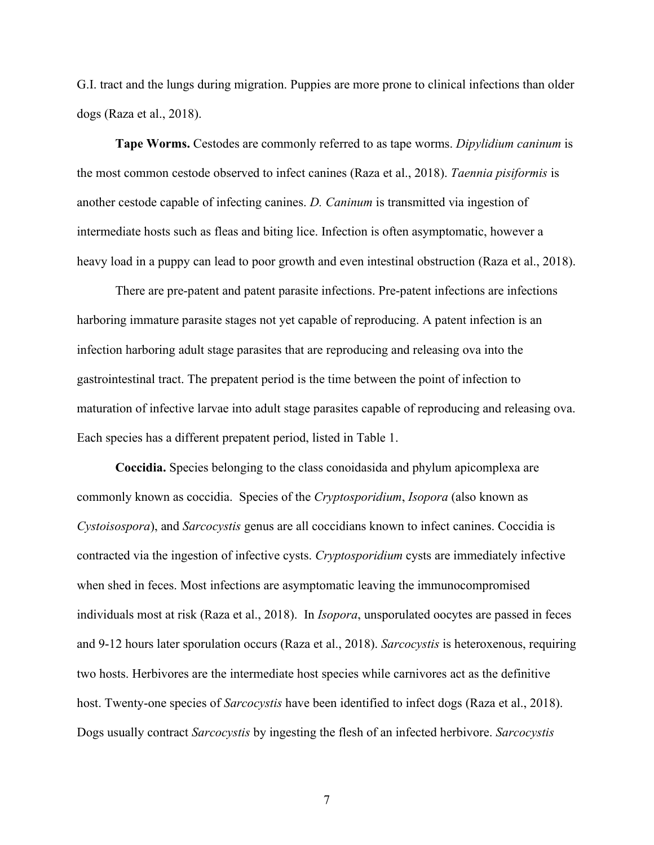G.I. tract and the lungs during migration. Puppies are more prone to clinical infections than older dogs (Raza et al., 2018).

**Tape Worms.** Cestodes are commonly referred to as tape worms. *Dipylidium caninum* is the most common cestode observed to infect canines (Raza et al., 2018). *Taennia pisiformis* is another cestode capable of infecting canines. *D. Caninum* is transmitted via ingestion of intermediate hosts such as fleas and biting lice. Infection is often asymptomatic, however a heavy load in a puppy can lead to poor growth and even intestinal obstruction (Raza et al., 2018).

There are pre-patent and patent parasite infections. Pre-patent infections are infections harboring immature parasite stages not yet capable of reproducing. A patent infection is an infection harboring adult stage parasites that are reproducing and releasing ova into the gastrointestinal tract. The prepatent period is the time between the point of infection to maturation of infective larvae into adult stage parasites capable of reproducing and releasing ova. Each species has a different prepatent period, listed in Table 1.

**Coccidia.** Species belonging to the class conoidasida and phylum apicomplexa are commonly known as coccidia. Species of the *Cryptosporidium*, *Isopora* (also known as *Cystoisospora*), and *Sarcocystis* genus are all coccidians known to infect canines. Coccidia is contracted via the ingestion of infective cysts. *Cryptosporidium* cysts are immediately infective when shed in feces. Most infections are asymptomatic leaving the immunocompromised individuals most at risk (Raza et al., 2018). In *Isopora*, unsporulated oocytes are passed in feces and 9-12 hours later sporulation occurs (Raza et al., 2018). *Sarcocystis* is heteroxenous, requiring two hosts. Herbivores are the intermediate host species while carnivores act as the definitive host. Twenty-one species of *Sarcocystis* have been identified to infect dogs (Raza et al., 2018). Dogs usually contract *Sarcocystis* by ingesting the flesh of an infected herbivore. *Sarcocystis*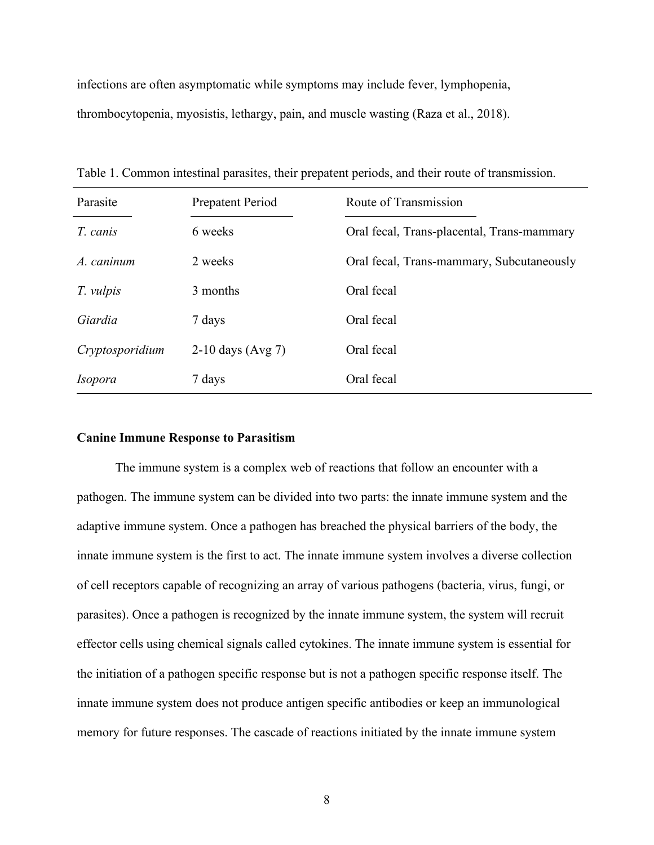infections are often asymptomatic while symptoms may include fever, lymphopenia, thrombocytopenia, myosistis, lethargy, pain, and muscle wasting (Raza et al., 2018).

| Parasite        | Prepatent Period    | Route of Transmission                      |
|-----------------|---------------------|--------------------------------------------|
| T. canis        | 6 weeks             | Oral fecal, Trans-placental, Trans-mammary |
| A. caninum      | 2 weeks             | Oral fecal, Trans-mammary, Subcutaneously  |
| T. vulpis       | 3 months            | Oral fecal                                 |
| Giardia         | 7 days              | Oral fecal                                 |
| Cryptosporidium | $2-10$ days (Avg 7) | Oral fecal                                 |
| <i>Isopora</i>  | 7 days              | Oral fecal                                 |

Table 1. Common intestinal parasites, their prepatent periods, and their route of transmission.

#### **Canine Immune Response to Parasitism**

The immune system is a complex web of reactions that follow an encounter with a pathogen. The immune system can be divided into two parts: the innate immune system and the adaptive immune system. Once a pathogen has breached the physical barriers of the body, the innate immune system is the first to act. The innate immune system involves a diverse collection of cell receptors capable of recognizing an array of various pathogens (bacteria, virus, fungi, or parasites). Once a pathogen is recognized by the innate immune system, the system will recruit effector cells using chemical signals called cytokines. The innate immune system is essential for the initiation of a pathogen specific response but is not a pathogen specific response itself. The innate immune system does not produce antigen specific antibodies or keep an immunological memory for future responses. The cascade of reactions initiated by the innate immune system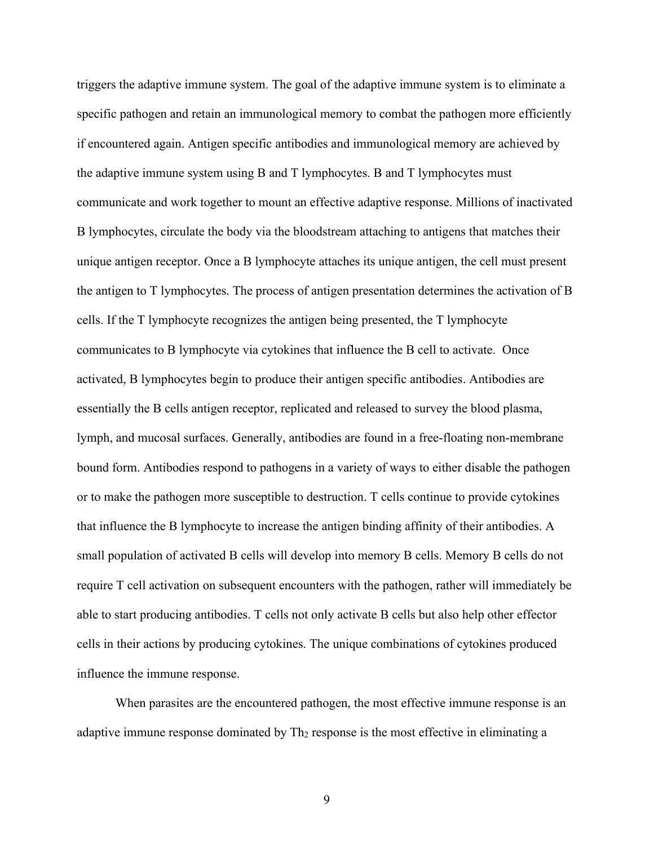triggers the adaptive immune system. The goal of the adaptive immune system is to eliminate a specific pathogen and retain an immunological memory to combat the pathogen more efficiently if encountered again. Antigen specific antibodies and immunological memory are achieved by the adaptive immune system using B and T lymphocytes. B and T lymphocytes must communicate and work together to mount an effective adaptive response. Millions of inactivated B lymphocytes, circulate the body via the bloodstream attaching to antigens that matches their unique antigen receptor. Once a B lymphocyte attaches its unique antigen, the cell must present the antigen to T lymphocytes. The process of antigen presentation determines the activation of B cells. If the T lymphocyte recognizes the antigen being presented, the T lymphocyte communicates to B lymphocyte via cytokines that influence the B cell to activate. Once activated, B lymphocytes begin to produce their antigen specific antibodies. Antibodies are essentially the B cells antigen receptor, replicated and released to survey the blood plasma, lymph, and mucosal surfaces. Generally, antibodies are found in a free-floating non-membrane bound form. Antibodies respond to pathogens in a variety of ways to either disable the pathogen or to make the pathogen more susceptible to destruction. T cells continue to provide cytokines that influence the B lymphocyte to increase the antigen binding affinity of their antibodies. A small population of activated B cells will develop into memory B cells. Memory B cells do not require T cell activation on subsequent encounters with the pathogen, rather will immediately be able to start producing antibodies. T cells not only activate B cells but also help other effector cells in their actions by producing cytokines. The unique combinations of cytokines produced influence the immune response.

When parasites are the encountered pathogen, the most effective immune response is an adaptive immune response dominated by  $Th_2$  response is the most effective in eliminating a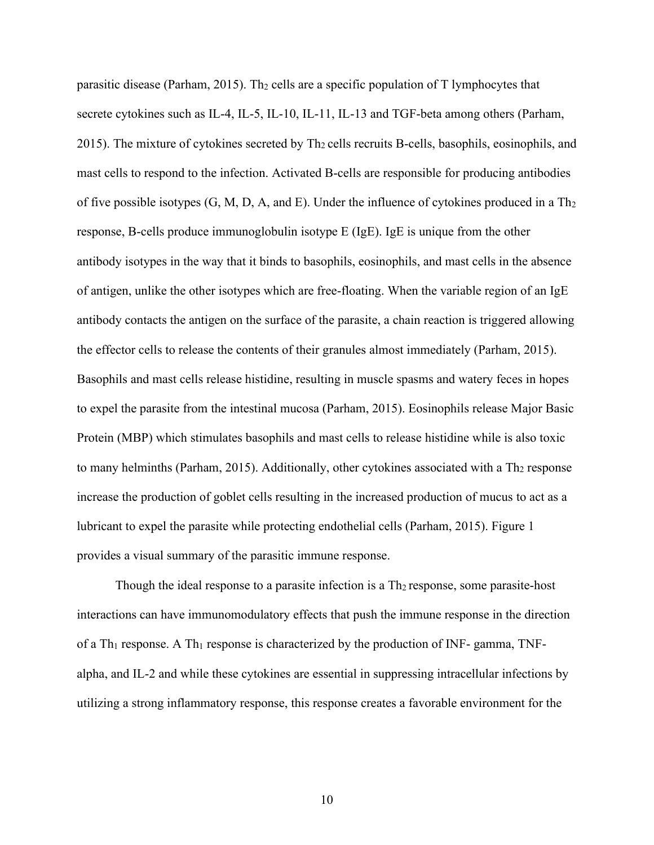parasitic disease (Parham, 2015). Th<sup>2</sup> cells are a specific population of T lymphocytes that secrete cytokines such as IL-4, IL-5, IL-10, IL-11, IL-13 and TGF-beta among others (Parham, 2015). The mixture of cytokines secreted by  $Th_2$  cells recruits B-cells, basophils, eosinophils, and mast cells to respond to the infection. Activated B-cells are responsible for producing antibodies of five possible isotypes  $(G, M, D, A, and E)$ . Under the influence of cytokines produced in a Th<sub>2</sub> response, B-cells produce immunoglobulin isotype E (IgE). IgE is unique from the other antibody isotypes in the way that it binds to basophils, eosinophils, and mast cells in the absence of antigen, unlike the other isotypes which are free-floating. When the variable region of an IgE antibody contacts the antigen on the surface of the parasite, a chain reaction is triggered allowing the effector cells to release the contents of their granules almost immediately (Parham, 2015). Basophils and mast cells release histidine, resulting in muscle spasms and watery feces in hopes to expel the parasite from the intestinal mucosa (Parham, 2015). Eosinophils release Major Basic Protein (MBP) which stimulates basophils and mast cells to release histidine while is also toxic to many helminths (Parham, 2015). Additionally, other cytokines associated with a  $Th<sub>2</sub>$  response increase the production of goblet cells resulting in the increased production of mucus to act as a lubricant to expel the parasite while protecting endothelial cells (Parham, 2015). Figure 1 provides a visual summary of the parasitic immune response.

Though the ideal response to a parasite infection is a Th<sub>2</sub> response, some parasite-host interactions can have immunomodulatory effects that push the immune response in the direction of a Th<sub>1</sub> response. A Th<sub>1</sub> response is characterized by the production of INF- gamma, TNFalpha, and IL-2 and while these cytokines are essential in suppressing intracellular infections by utilizing a strong inflammatory response, this response creates a favorable environment for the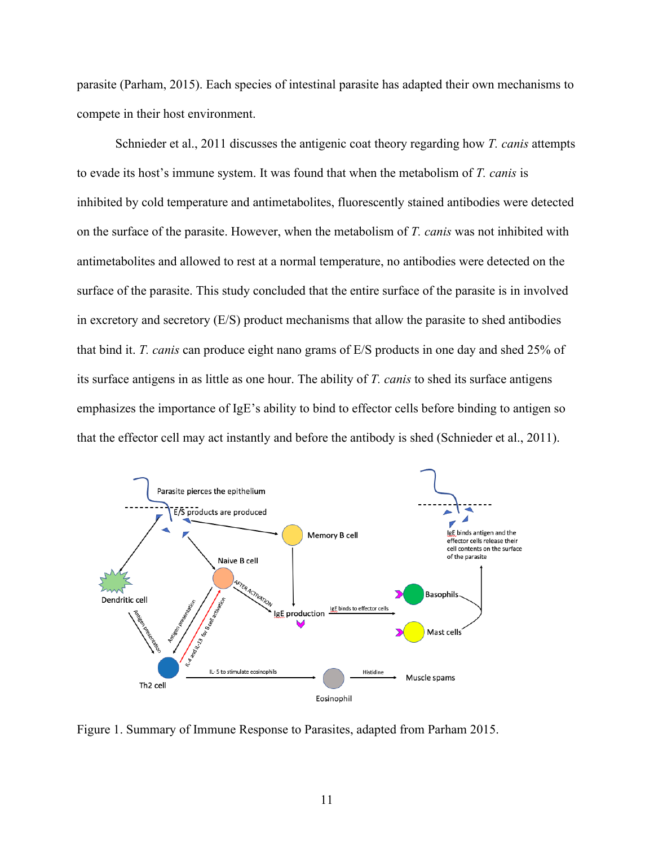parasite (Parham, 2015). Each species of intestinal parasite has adapted their own mechanisms to compete in their host environment.

Schnieder et al., 2011 discusses the antigenic coat theory regarding how *T. canis* attempts to evade its host's immune system. It was found that when the metabolism of *T. canis* is inhibited by cold temperature and antimetabolites, fluorescently stained antibodies were detected on the surface of the parasite. However, when the metabolism of *T. canis* was not inhibited with antimetabolites and allowed to rest at a normal temperature, no antibodies were detected on the surface of the parasite. This study concluded that the entire surface of the parasite is in involved in excretory and secretory (E/S) product mechanisms that allow the parasite to shed antibodies that bind it. *T. canis* can produce eight nano grams of E/S products in one day and shed 25% of its surface antigens in as little as one hour. The ability of *T. canis* to shed its surface antigens emphasizes the importance of IgE's ability to bind to effector cells before binding to antigen so that the effector cell may act instantly and before the antibody is shed (Schnieder et al., 2011).



Figure 1. Summary of Immune Response to Parasites, adapted from Parham 2015.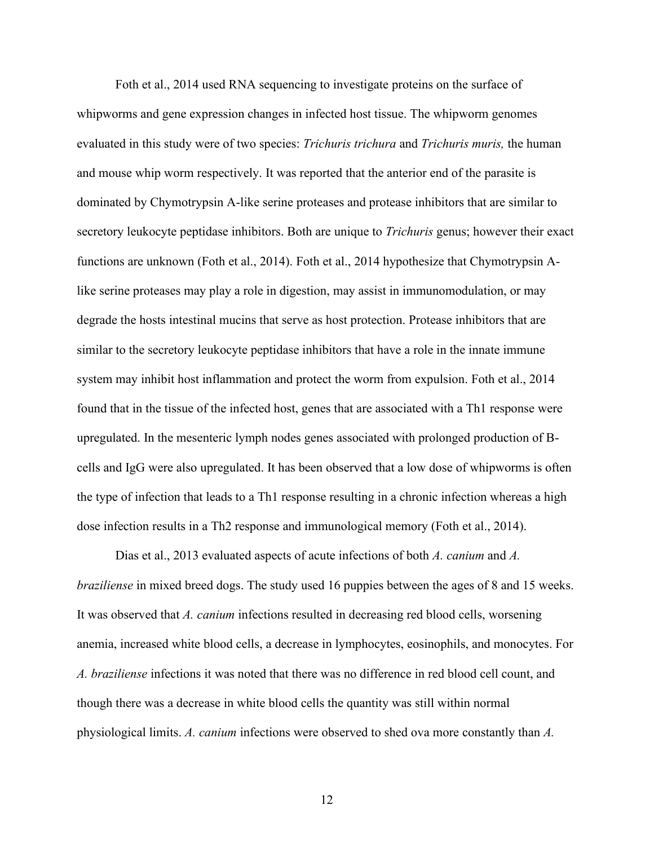Foth et al., 2014 used RNA sequencing to investigate proteins on the surface of whipworms and gene expression changes in infected host tissue. The whipworm genomes evaluated in this study were of two species: *Trichuris trichura* and *Trichuris muris,* the human and mouse whip worm respectively. It was reported that the anterior end of the parasite is dominated by Chymotrypsin A-like serine proteases and protease inhibitors that are similar to secretory leukocyte peptidase inhibitors. Both are unique to *Trichuris* genus; however their exact functions are unknown (Foth et al., 2014). Foth et al., 2014 hypothesize that Chymotrypsin Alike serine proteases may play a role in digestion, may assist in immunomodulation, or may degrade the hosts intestinal mucins that serve as host protection. Protease inhibitors that are similar to the secretory leukocyte peptidase inhibitors that have a role in the innate immune system may inhibit host inflammation and protect the worm from expulsion. Foth et al., 2014 found that in the tissue of the infected host, genes that are associated with a Th1 response were upregulated. In the mesenteric lymph nodes genes associated with prolonged production of Bcells and IgG were also upregulated. It has been observed that a low dose of whipworms is often the type of infection that leads to a Th1 response resulting in a chronic infection whereas a high dose infection results in a Th2 response and immunological memory (Foth et al., 2014).

Dias et al., 2013 evaluated aspects of acute infections of both *A. canium* and *A. braziliense* in mixed breed dogs. The study used 16 puppies between the ages of 8 and 15 weeks. It was observed that *A. canium* infections resulted in decreasing red blood cells, worsening anemia, increased white blood cells, a decrease in lymphocytes, eosinophils, and monocytes. For *A. braziliense* infections it was noted that there was no difference in red blood cell count, and though there was a decrease in white blood cells the quantity was still within normal physiological limits. *A. canium* infections were observed to shed ova more constantly than *A.*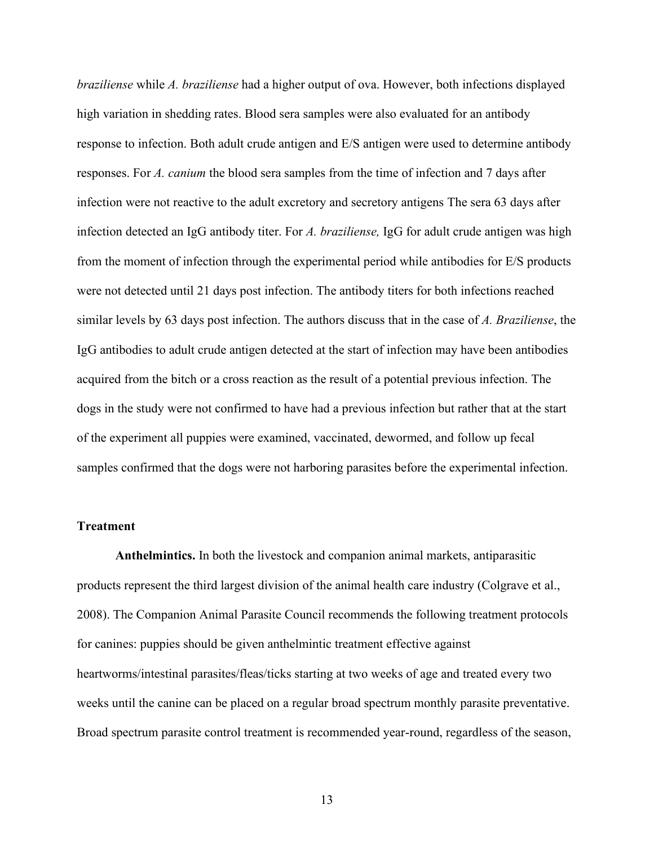*braziliense* while *A. braziliense* had a higher output of ova. However, both infections displayed high variation in shedding rates. Blood sera samples were also evaluated for an antibody response to infection. Both adult crude antigen and E/S antigen were used to determine antibody responses. For *A. canium* the blood sera samples from the time of infection and 7 days after infection were not reactive to the adult excretory and secretory antigens The sera 63 days after infection detected an IgG antibody titer. For *A. braziliense,* IgG for adult crude antigen was high from the moment of infection through the experimental period while antibodies for E/S products were not detected until 21 days post infection. The antibody titers for both infections reached similar levels by 63 days post infection. The authors discuss that in the case of *A. Braziliense*, the IgG antibodies to adult crude antigen detected at the start of infection may have been antibodies acquired from the bitch or a cross reaction as the result of a potential previous infection. The dogs in the study were not confirmed to have had a previous infection but rather that at the start of the experiment all puppies were examined, vaccinated, dewormed, and follow up fecal samples confirmed that the dogs were not harboring parasites before the experimental infection.

## **Treatment**

**Anthelmintics.** In both the livestock and companion animal markets, antiparasitic products represent the third largest division of the animal health care industry (Colgrave et al., 2008). The Companion Animal Parasite Council recommends the following treatment protocols for canines: puppies should be given anthelmintic treatment effective against heartworms/intestinal parasites/fleas/ticks starting at two weeks of age and treated every two weeks until the canine can be placed on a regular broad spectrum monthly parasite preventative. Broad spectrum parasite control treatment is recommended year-round, regardless of the season,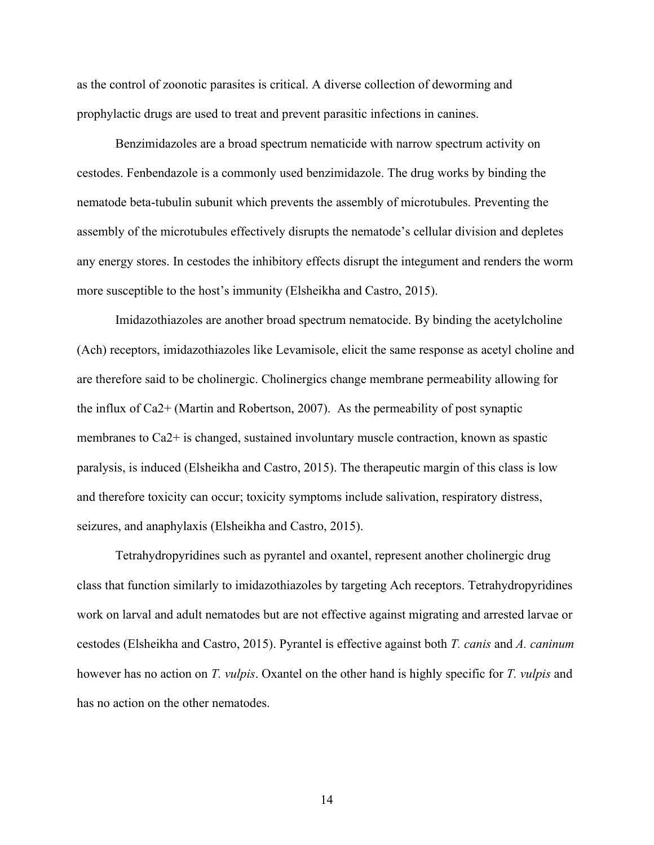as the control of zoonotic parasites is critical. A diverse collection of deworming and prophylactic drugs are used to treat and prevent parasitic infections in canines.

Benzimidazoles are a broad spectrum nematicide with narrow spectrum activity on cestodes. Fenbendazole is a commonly used benzimidazole. The drug works by binding the nematode beta-tubulin subunit which prevents the assembly of microtubules. Preventing the assembly of the microtubules effectively disrupts the nematode's cellular division and depletes any energy stores. In cestodes the inhibitory effects disrupt the integument and renders the worm more susceptible to the host's immunity (Elsheikha and Castro, 2015).

Imidazothiazoles are another broad spectrum nematocide. By binding the acetylcholine (Ach) receptors, imidazothiazoles like Levamisole, elicit the same response as acetyl choline and are therefore said to be cholinergic. Cholinergics change membrane permeability allowing for the influx of Ca2+ (Martin and Robertson, 2007). As the permeability of post synaptic membranes to Ca2+ is changed, sustained involuntary muscle contraction, known as spastic paralysis, is induced (Elsheikha and Castro, 2015). The therapeutic margin of this class is low and therefore toxicity can occur; toxicity symptoms include salivation, respiratory distress, seizures, and anaphylaxis (Elsheikha and Castro, 2015).

Tetrahydropyridines such as pyrantel and oxantel, represent another cholinergic drug class that function similarly to imidazothiazoles by targeting Ach receptors. Tetrahydropyridines work on larval and adult nematodes but are not effective against migrating and arrested larvae or cestodes (Elsheikha and Castro, 2015). Pyrantel is effective against both *T. canis* and *A. caninum* however has no action on *T. vulpis*. Oxantel on the other hand is highly specific for *T. vulpis* and has no action on the other nematodes.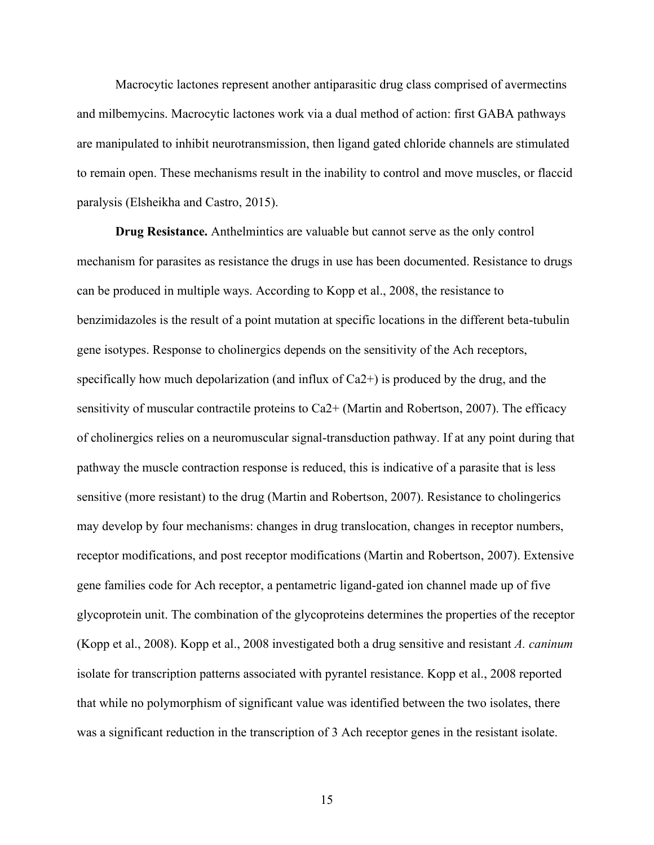Macrocytic lactones represent another antiparasitic drug class comprised of avermectins and milbemycins. Macrocytic lactones work via a dual method of action: first GABA pathways are manipulated to inhibit neurotransmission, then ligand gated chloride channels are stimulated to remain open. These mechanisms result in the inability to control and move muscles, or flaccid paralysis (Elsheikha and Castro, 2015).

**Drug Resistance.** Anthelmintics are valuable but cannot serve as the only control mechanism for parasites as resistance the drugs in use has been documented. Resistance to drugs can be produced in multiple ways. According to Kopp et al., 2008, the resistance to benzimidazoles is the result of a point mutation at specific locations in the different beta-tubulin gene isotypes. Response to cholinergics depends on the sensitivity of the Ach receptors, specifically how much depolarization (and influx of  $Ca2+)$  is produced by the drug, and the sensitivity of muscular contractile proteins to Ca2+ (Martin and Robertson, 2007). The efficacy of cholinergics relies on a neuromuscular signal-transduction pathway. If at any point during that pathway the muscle contraction response is reduced, this is indicative of a parasite that is less sensitive (more resistant) to the drug (Martin and Robertson, 2007). Resistance to cholingerics may develop by four mechanisms: changes in drug translocation, changes in receptor numbers, receptor modifications, and post receptor modifications (Martin and Robertson, 2007). Extensive gene families code for Ach receptor, a pentametric ligand-gated ion channel made up of five glycoprotein unit. The combination of the glycoproteins determines the properties of the receptor (Kopp et al., 2008). Kopp et al., 2008 investigated both a drug sensitive and resistant *A. caninum* isolate for transcription patterns associated with pyrantel resistance. Kopp et al., 2008 reported that while no polymorphism of significant value was identified between the two isolates, there was a significant reduction in the transcription of 3 Ach receptor genes in the resistant isolate.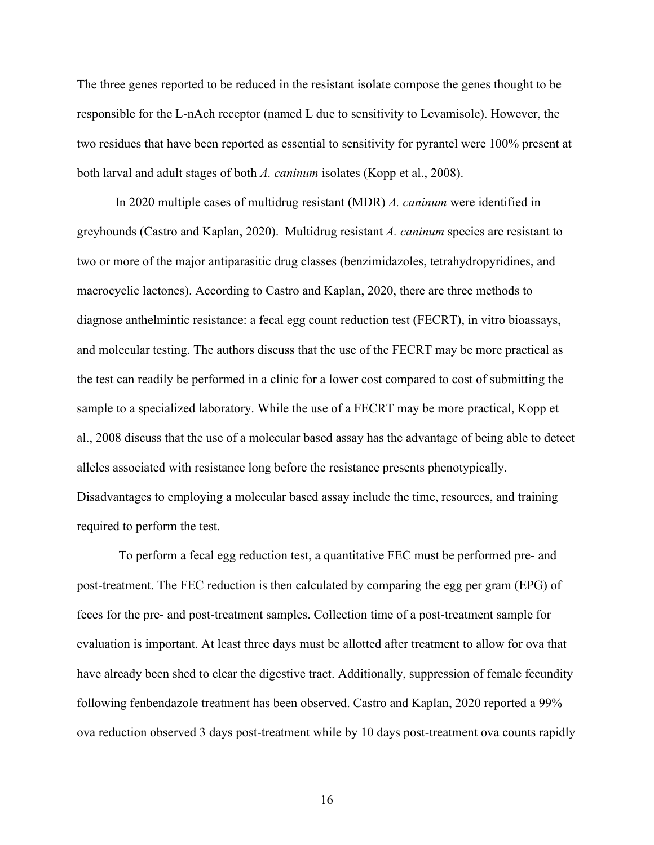The three genes reported to be reduced in the resistant isolate compose the genes thought to be responsible for the L-nAch receptor (named L due to sensitivity to Levamisole). However, the two residues that have been reported as essential to sensitivity for pyrantel were 100% present at both larval and adult stages of both *A. caninum* isolates (Kopp et al., 2008).

In 2020 multiple cases of multidrug resistant (MDR) *A. caninum* were identified in greyhounds (Castro and Kaplan, 2020). Multidrug resistant *A. caninum* species are resistant to two or more of the major antiparasitic drug classes (benzimidazoles, tetrahydropyridines, and macrocyclic lactones). According to Castro and Kaplan, 2020, there are three methods to diagnose anthelmintic resistance: a fecal egg count reduction test (FECRT), in vitro bioassays, and molecular testing. The authors discuss that the use of the FECRT may be more practical as the test can readily be performed in a clinic for a lower cost compared to cost of submitting the sample to a specialized laboratory. While the use of a FECRT may be more practical, Kopp et al., 2008 discuss that the use of a molecular based assay has the advantage of being able to detect alleles associated with resistance long before the resistance presents phenotypically. Disadvantages to employing a molecular based assay include the time, resources, and training required to perform the test.

To perform a fecal egg reduction test, a quantitative FEC must be performed pre- and post-treatment. The FEC reduction is then calculated by comparing the egg per gram (EPG) of feces for the pre- and post-treatment samples. Collection time of a post-treatment sample for evaluation is important. At least three days must be allotted after treatment to allow for ova that have already been shed to clear the digestive tract. Additionally, suppression of female fecundity following fenbendazole treatment has been observed. Castro and Kaplan, 2020 reported a 99% ova reduction observed 3 days post-treatment while by 10 days post-treatment ova counts rapidly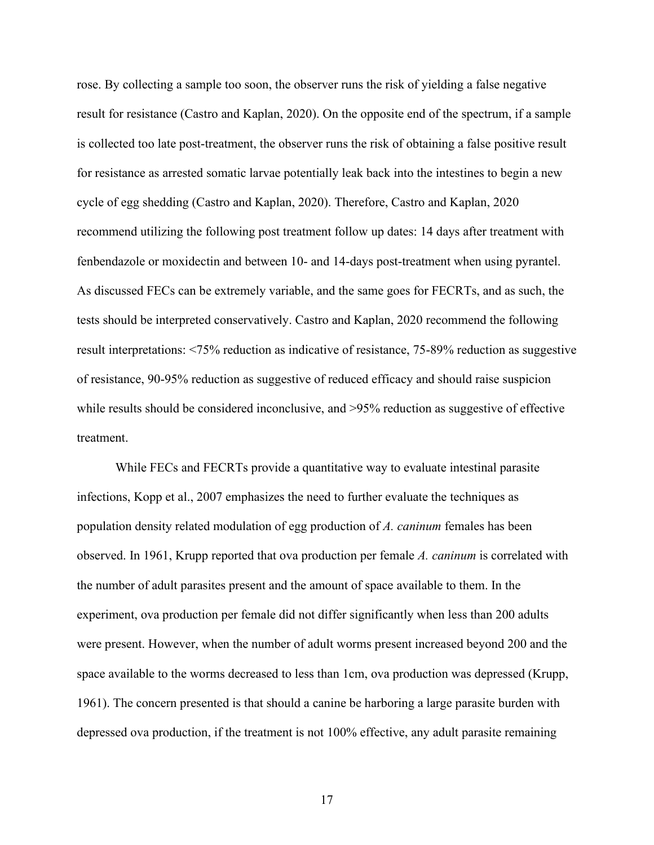rose. By collecting a sample too soon, the observer runs the risk of yielding a false negative result for resistance (Castro and Kaplan, 2020). On the opposite end of the spectrum, if a sample is collected too late post-treatment, the observer runs the risk of obtaining a false positive result for resistance as arrested somatic larvae potentially leak back into the intestines to begin a new cycle of egg shedding (Castro and Kaplan, 2020). Therefore, Castro and Kaplan, 2020 recommend utilizing the following post treatment follow up dates: 14 days after treatment with fenbendazole or moxidectin and between 10- and 14-days post-treatment when using pyrantel. As discussed FECs can be extremely variable, and the same goes for FECRTs, and as such, the tests should be interpreted conservatively. Castro and Kaplan, 2020 recommend the following result interpretations: <75% reduction as indicative of resistance, 75-89% reduction as suggestive of resistance, 90-95% reduction as suggestive of reduced efficacy and should raise suspicion while results should be considered inconclusive, and >95% reduction as suggestive of effective treatment.

While FECs and FECRTs provide a quantitative way to evaluate intestinal parasite infections, Kopp et al., 2007 emphasizes the need to further evaluate the techniques as population density related modulation of egg production of *A. caninum* females has been observed. In 1961, Krupp reported that ova production per female *A. caninum* is correlated with the number of adult parasites present and the amount of space available to them. In the experiment, ova production per female did not differ significantly when less than 200 adults were present. However, when the number of adult worms present increased beyond 200 and the space available to the worms decreased to less than 1cm, ova production was depressed (Krupp, 1961). The concern presented is that should a canine be harboring a large parasite burden with depressed ova production, if the treatment is not 100% effective, any adult parasite remaining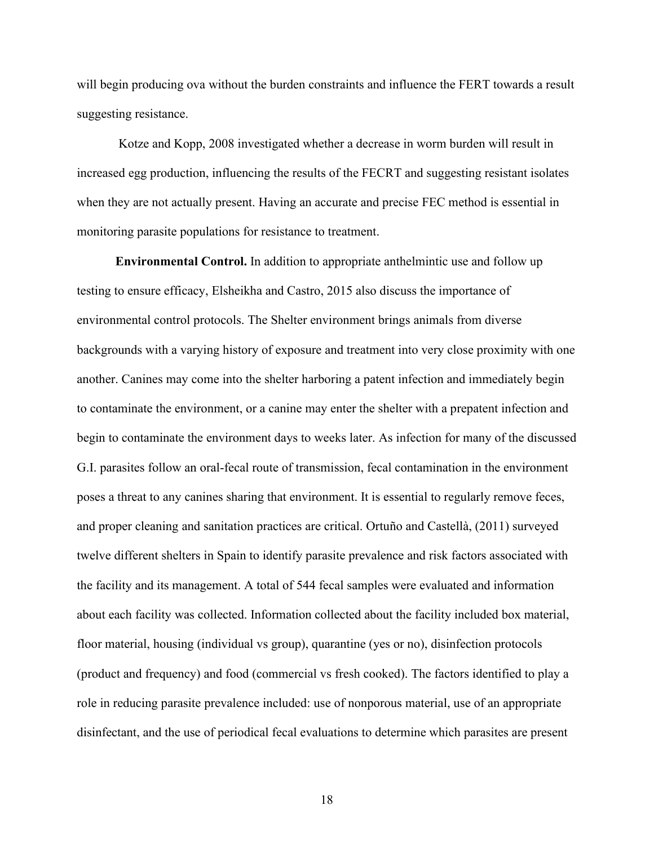will begin producing ova without the burden constraints and influence the FERT towards a result suggesting resistance.

Kotze and Kopp, 2008 investigated whether a decrease in worm burden will result in increased egg production, influencing the results of the FECRT and suggesting resistant isolates when they are not actually present. Having an accurate and precise FEC method is essential in monitoring parasite populations for resistance to treatment.

**Environmental Control.** In addition to appropriate anthelmintic use and follow up testing to ensure efficacy, Elsheikha and Castro, 2015 also discuss the importance of environmental control protocols. The Shelter environment brings animals from diverse backgrounds with a varying history of exposure and treatment into very close proximity with one another. Canines may come into the shelter harboring a patent infection and immediately begin to contaminate the environment, or a canine may enter the shelter with a prepatent infection and begin to contaminate the environment days to weeks later. As infection for many of the discussed G.I. parasites follow an oral-fecal route of transmission, fecal contamination in the environment poses a threat to any canines sharing that environment. It is essential to regularly remove feces, and proper cleaning and sanitation practices are critical. Ortuño and Castellà, (2011) surveyed twelve different shelters in Spain to identify parasite prevalence and risk factors associated with the facility and its management. A total of 544 fecal samples were evaluated and information about each facility was collected. Information collected about the facility included box material, floor material, housing (individual vs group), quarantine (yes or no), disinfection protocols (product and frequency) and food (commercial vs fresh cooked). The factors identified to play a role in reducing parasite prevalence included: use of nonporous material, use of an appropriate disinfectant, and the use of periodical fecal evaluations to determine which parasites are present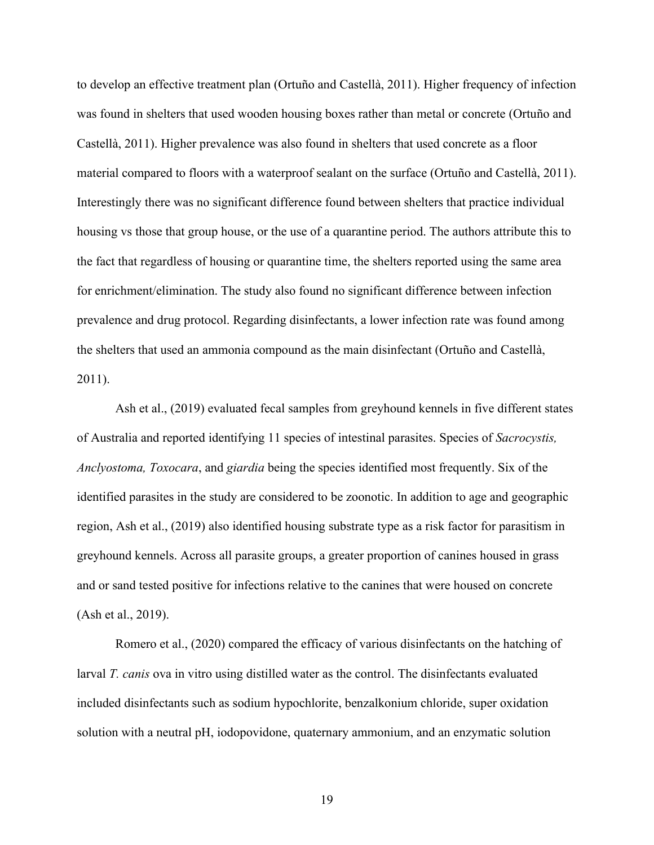to develop an effective treatment plan (Ortuño and Castellà, 2011). Higher frequency of infection was found in shelters that used wooden housing boxes rather than metal or concrete (Ortuño and Castellà, 2011). Higher prevalence was also found in shelters that used concrete as a floor material compared to floors with a waterproof sealant on the surface (Ortuño and Castellà, 2011). Interestingly there was no significant difference found between shelters that practice individual housing vs those that group house, or the use of a quarantine period. The authors attribute this to the fact that regardless of housing or quarantine time, the shelters reported using the same area for enrichment/elimination. The study also found no significant difference between infection prevalence and drug protocol. Regarding disinfectants, a lower infection rate was found among the shelters that used an ammonia compound as the main disinfectant (Ortuño and Castellà, 2011).

Ash et al., (2019) evaluated fecal samples from greyhound kennels in five different states of Australia and reported identifying 11 species of intestinal parasites. Species of *Sacrocystis, Anclyostoma, Toxocara*, and *giardia* being the species identified most frequently. Six of the identified parasites in the study are considered to be zoonotic. In addition to age and geographic region, Ash et al., (2019) also identified housing substrate type as a risk factor for parasitism in greyhound kennels. Across all parasite groups, a greater proportion of canines housed in grass and or sand tested positive for infections relative to the canines that were housed on concrete (Ash et al., 2019).

Romero et al., (2020) compared the efficacy of various disinfectants on the hatching of larval *T. canis* ova in vitro using distilled water as the control. The disinfectants evaluated included disinfectants such as sodium hypochlorite, benzalkonium chloride, super oxidation solution with a neutral pH, iodopovidone, quaternary ammonium, and an enzymatic solution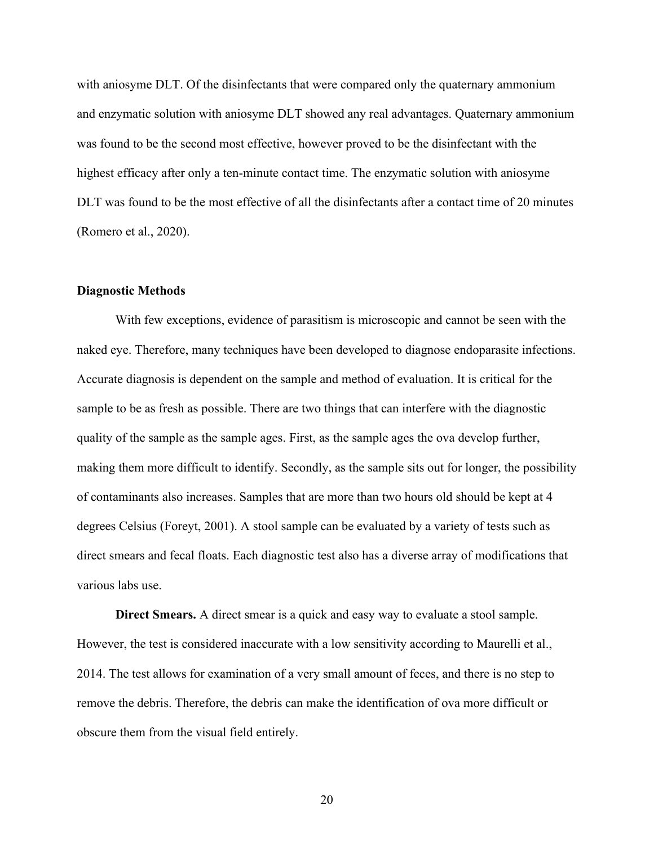with aniosyme DLT. Of the disinfectants that were compared only the quaternary ammonium and enzymatic solution with aniosyme DLT showed any real advantages. Quaternary ammonium was found to be the second most effective, however proved to be the disinfectant with the highest efficacy after only a ten-minute contact time. The enzymatic solution with aniosyme DLT was found to be the most effective of all the disinfectants after a contact time of 20 minutes (Romero et al., 2020).

#### **Diagnostic Methods**

With few exceptions, evidence of parasitism is microscopic and cannot be seen with the naked eye. Therefore, many techniques have been developed to diagnose endoparasite infections. Accurate diagnosis is dependent on the sample and method of evaluation. It is critical for the sample to be as fresh as possible. There are two things that can interfere with the diagnostic quality of the sample as the sample ages. First, as the sample ages the ova develop further, making them more difficult to identify. Secondly, as the sample sits out for longer, the possibility of contaminants also increases. Samples that are more than two hours old should be kept at 4 degrees Celsius (Foreyt, 2001). A stool sample can be evaluated by a variety of tests such as direct smears and fecal floats. Each diagnostic test also has a diverse array of modifications that various labs use.

**Direct Smears.** A direct smear is a quick and easy way to evaluate a stool sample. However, the test is considered inaccurate with a low sensitivity according to Maurelli et al., 2014. The test allows for examination of a very small amount of feces, and there is no step to remove the debris. Therefore, the debris can make the identification of ova more difficult or obscure them from the visual field entirely.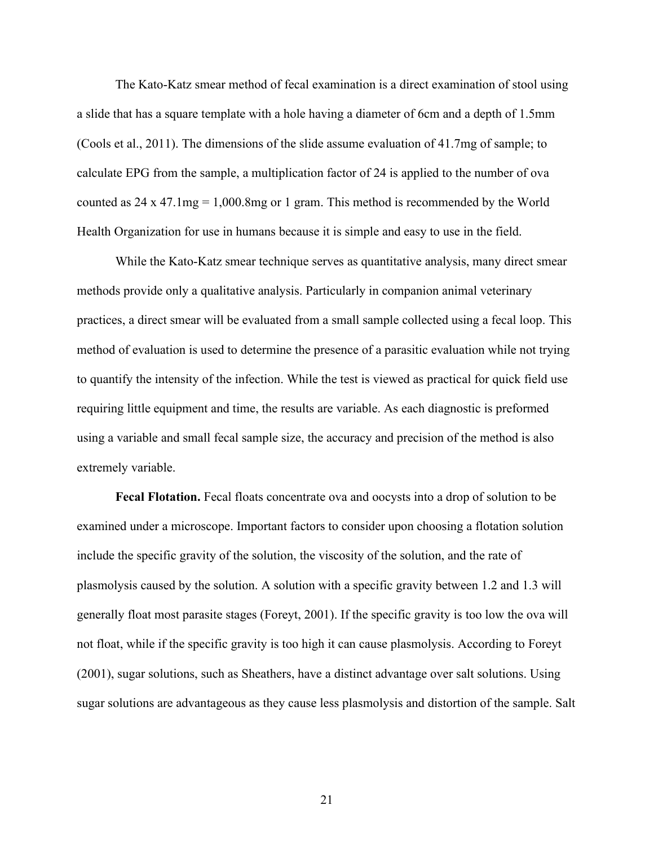The Kato-Katz smear method of fecal examination is a direct examination of stool using a slide that has a square template with a hole having a diameter of 6cm and a depth of 1.5mm (Cools et al., 2011). The dimensions of the slide assume evaluation of 41.7mg of sample; to calculate EPG from the sample, a multiplication factor of 24 is applied to the number of ova counted as 24 x 47.1mg = 1,000.8mg or 1 gram. This method is recommended by the World Health Organization for use in humans because it is simple and easy to use in the field.

While the Kato-Katz smear technique serves as quantitative analysis, many direct smear methods provide only a qualitative analysis. Particularly in companion animal veterinary practices, a direct smear will be evaluated from a small sample collected using a fecal loop. This method of evaluation is used to determine the presence of a parasitic evaluation while not trying to quantify the intensity of the infection. While the test is viewed as practical for quick field use requiring little equipment and time, the results are variable. As each diagnostic is preformed using a variable and small fecal sample size, the accuracy and precision of the method is also extremely variable.

**Fecal Flotation.** Fecal floats concentrate ova and oocysts into a drop of solution to be examined under a microscope. Important factors to consider upon choosing a flotation solution include the specific gravity of the solution, the viscosity of the solution, and the rate of plasmolysis caused by the solution. A solution with a specific gravity between 1.2 and 1.3 will generally float most parasite stages (Foreyt, 2001). If the specific gravity is too low the ova will not float, while if the specific gravity is too high it can cause plasmolysis. According to Foreyt (2001), sugar solutions, such as Sheathers, have a distinct advantage over salt solutions. Using sugar solutions are advantageous as they cause less plasmolysis and distortion of the sample. Salt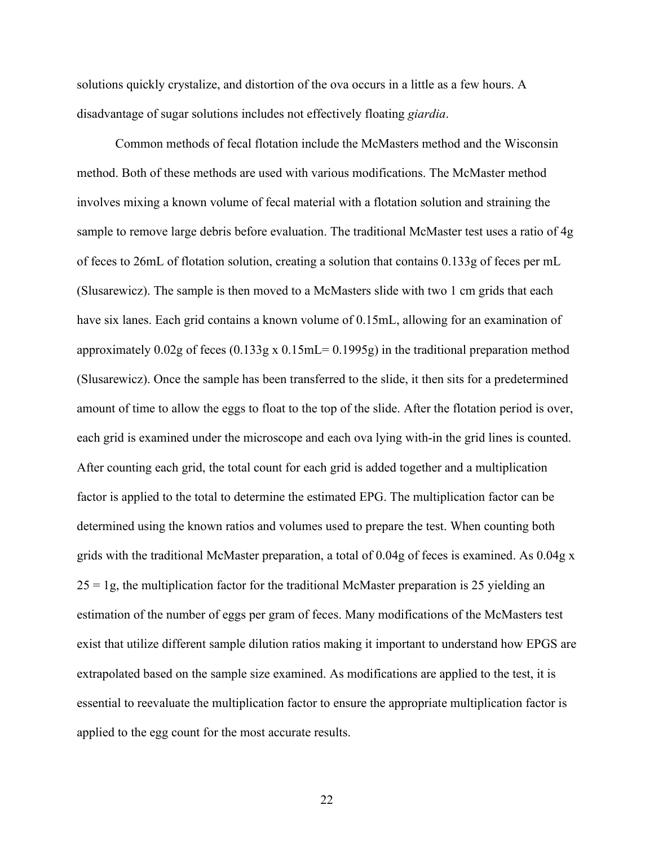solutions quickly crystalize, and distortion of the ova occurs in a little as a few hours. A disadvantage of sugar solutions includes not effectively floating *giardia*.

Common methods of fecal flotation include the McMasters method and the Wisconsin method. Both of these methods are used with various modifications. The McMaster method involves mixing a known volume of fecal material with a flotation solution and straining the sample to remove large debris before evaluation. The traditional McMaster test uses a ratio of 4g of feces to 26mL of flotation solution, creating a solution that contains 0.133g of feces per mL (Slusarewicz). The sample is then moved to a McMasters slide with two 1 cm grids that each have six lanes. Each grid contains a known volume of 0.15mL, allowing for an examination of approximately 0.02g of feces (0.133g x 0.15mL= 0.1995g) in the traditional preparation method (Slusarewicz). Once the sample has been transferred to the slide, it then sits for a predetermined amount of time to allow the eggs to float to the top of the slide. After the flotation period is over, each grid is examined under the microscope and each ova lying with-in the grid lines is counted. After counting each grid, the total count for each grid is added together and a multiplication factor is applied to the total to determine the estimated EPG. The multiplication factor can be determined using the known ratios and volumes used to prepare the test. When counting both grids with the traditional McMaster preparation, a total of 0.04g of feces is examined. As 0.04g x  $25 = 1g$ , the multiplication factor for the traditional McMaster preparation is 25 yielding an estimation of the number of eggs per gram of feces. Many modifications of the McMasters test exist that utilize different sample dilution ratios making it important to understand how EPGS are extrapolated based on the sample size examined. As modifications are applied to the test, it is essential to reevaluate the multiplication factor to ensure the appropriate multiplication factor is applied to the egg count for the most accurate results.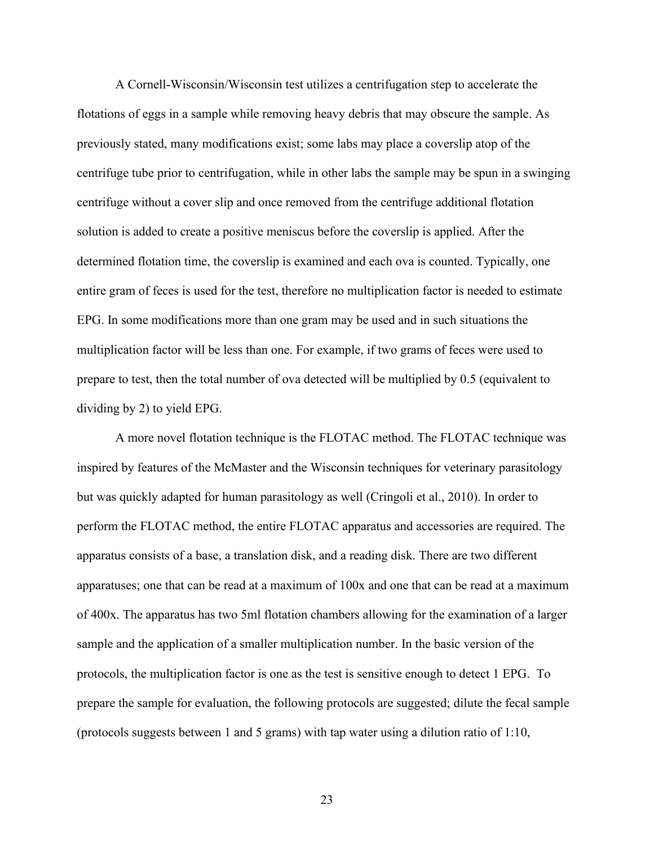A Cornell-Wisconsin/Wisconsin test utilizes a centrifugation step to accelerate the flotations of eggs in a sample while removing heavy debris that may obscure the sample. As previously stated, many modifications exist; some labs may place a coverslip atop of the centrifuge tube prior to centrifugation, while in other labs the sample may be spun in a swinging centrifuge without a cover slip and once removed from the centrifuge additional flotation solution is added to create a positive meniscus before the coverslip is applied. After the determined flotation time, the coverslip is examined and each ova is counted. Typically, one entire gram of feces is used for the test, therefore no multiplication factor is needed to estimate EPG. In some modifications more than one gram may be used and in such situations the multiplication factor will be less than one. For example, if two grams of feces were used to prepare to test, then the total number of ova detected will be multiplied by 0.5 (equivalent to dividing by 2) to yield EPG.

A more novel flotation technique is the FLOTAC method. The FLOTAC technique was inspired by features of the McMaster and the Wisconsin techniques for veterinary parasitology but was quickly adapted for human parasitology as well (Cringoli et al., 2010). In order to perform the FLOTAC method, the entire FLOTAC apparatus and accessories are required. The apparatus consists of a base, a translation disk, and a reading disk. There are two different apparatuses; one that can be read at a maximum of 100x and one that can be read at a maximum of 400x. The apparatus has two 5ml flotation chambers allowing for the examination of a larger sample and the application of a smaller multiplication number. In the basic version of the protocols, the multiplication factor is one as the test is sensitive enough to detect 1 EPG. To prepare the sample for evaluation, the following protocols are suggested; dilute the fecal sample (protocols suggests between 1 and 5 grams) with tap water using a dilution ratio of 1:10,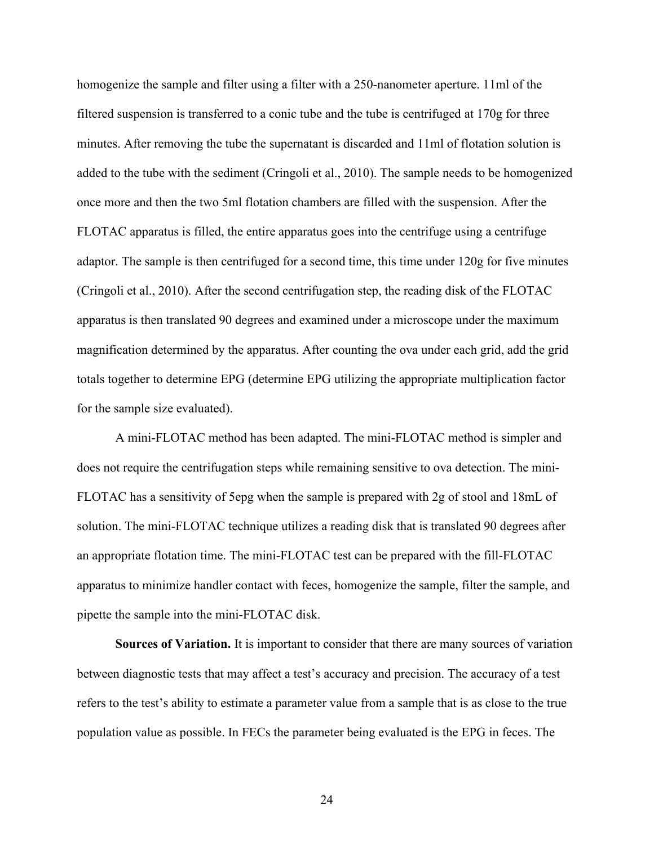homogenize the sample and filter using a filter with a 250-nanometer aperture. 11ml of the filtered suspension is transferred to a conic tube and the tube is centrifuged at 170g for three minutes. After removing the tube the supernatant is discarded and 11ml of flotation solution is added to the tube with the sediment (Cringoli et al., 2010). The sample needs to be homogenized once more and then the two 5ml flotation chambers are filled with the suspension. After the FLOTAC apparatus is filled, the entire apparatus goes into the centrifuge using a centrifuge adaptor. The sample is then centrifuged for a second time, this time under 120g for five minutes (Cringoli et al., 2010). After the second centrifugation step, the reading disk of the FLOTAC apparatus is then translated 90 degrees and examined under a microscope under the maximum magnification determined by the apparatus. After counting the ova under each grid, add the grid totals together to determine EPG (determine EPG utilizing the appropriate multiplication factor for the sample size evaluated).

A mini-FLOTAC method has been adapted. The mini-FLOTAC method is simpler and does not require the centrifugation steps while remaining sensitive to ova detection. The mini-FLOTAC has a sensitivity of 5epg when the sample is prepared with 2g of stool and 18mL of solution. The mini-FLOTAC technique utilizes a reading disk that is translated 90 degrees after an appropriate flotation time. The mini-FLOTAC test can be prepared with the fill-FLOTAC apparatus to minimize handler contact with feces, homogenize the sample, filter the sample, and pipette the sample into the mini-FLOTAC disk.

**Sources of Variation.** It is important to consider that there are many sources of variation between diagnostic tests that may affect a test's accuracy and precision. The accuracy of a test refers to the test's ability to estimate a parameter value from a sample that is as close to the true population value as possible. In FECs the parameter being evaluated is the EPG in feces. The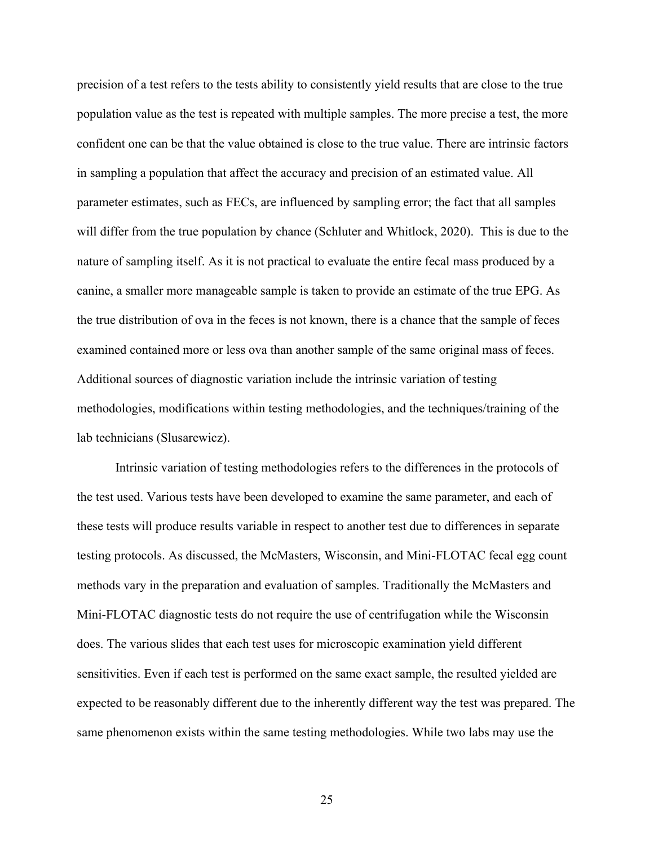precision of a test refers to the tests ability to consistently yield results that are close to the true population value as the test is repeated with multiple samples. The more precise a test, the more confident one can be that the value obtained is close to the true value. There are intrinsic factors in sampling a population that affect the accuracy and precision of an estimated value. All parameter estimates, such as FECs, are influenced by sampling error; the fact that all samples will differ from the true population by chance (Schluter and Whitlock, 2020). This is due to the nature of sampling itself. As it is not practical to evaluate the entire fecal mass produced by a canine, a smaller more manageable sample is taken to provide an estimate of the true EPG. As the true distribution of ova in the feces is not known, there is a chance that the sample of feces examined contained more or less ova than another sample of the same original mass of feces. Additional sources of diagnostic variation include the intrinsic variation of testing methodologies, modifications within testing methodologies, and the techniques/training of the lab technicians (Slusarewicz).

Intrinsic variation of testing methodologies refers to the differences in the protocols of the test used. Various tests have been developed to examine the same parameter, and each of these tests will produce results variable in respect to another test due to differences in separate testing protocols. As discussed, the McMasters, Wisconsin, and Mini-FLOTAC fecal egg count methods vary in the preparation and evaluation of samples. Traditionally the McMasters and Mini-FLOTAC diagnostic tests do not require the use of centrifugation while the Wisconsin does. The various slides that each test uses for microscopic examination yield different sensitivities. Even if each test is performed on the same exact sample, the resulted yielded are expected to be reasonably different due to the inherently different way the test was prepared. The same phenomenon exists within the same testing methodologies. While two labs may use the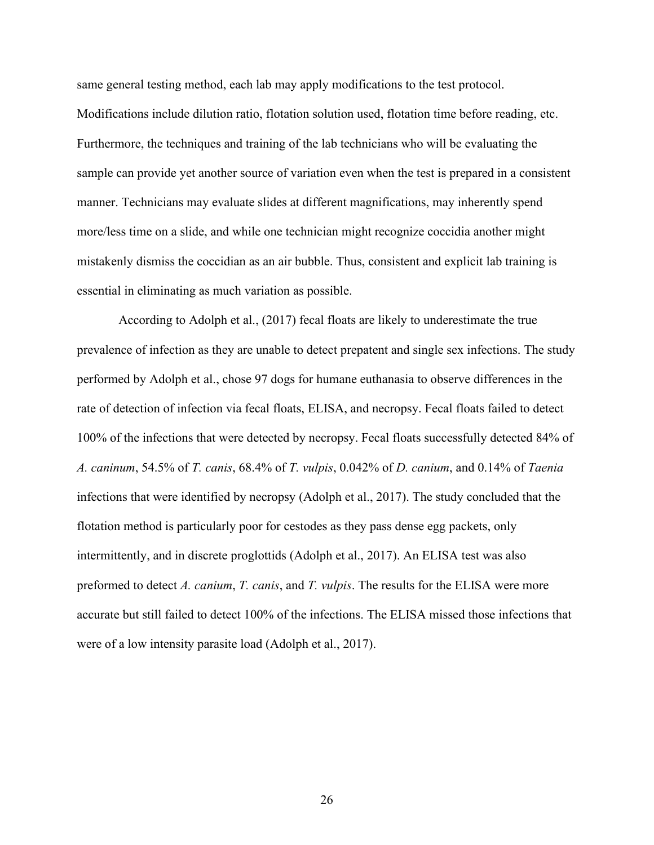same general testing method, each lab may apply modifications to the test protocol. Modifications include dilution ratio, flotation solution used, flotation time before reading, etc. Furthermore, the techniques and training of the lab technicians who will be evaluating the sample can provide yet another source of variation even when the test is prepared in a consistent manner. Technicians may evaluate slides at different magnifications, may inherently spend more/less time on a slide, and while one technician might recognize coccidia another might mistakenly dismiss the coccidian as an air bubble. Thus, consistent and explicit lab training is essential in eliminating as much variation as possible.

According to Adolph et al., (2017) fecal floats are likely to underestimate the true prevalence of infection as they are unable to detect prepatent and single sex infections. The study performed by Adolph et al., chose 97 dogs for humane euthanasia to observe differences in the rate of detection of infection via fecal floats, ELISA, and necropsy. Fecal floats failed to detect 100% of the infections that were detected by necropsy. Fecal floats successfully detected 84% of *A. caninum*, 54.5% of *T. canis*, 68.4% of *T. vulpis*, 0.042% of *D. canium*, and 0.14% of *Taenia* infections that were identified by necropsy (Adolph et al., 2017). The study concluded that the flotation method is particularly poor for cestodes as they pass dense egg packets, only intermittently, and in discrete proglottids (Adolph et al., 2017). An ELISA test was also preformed to detect *A. canium*, *T. canis*, and *T. vulpis*. The results for the ELISA were more accurate but still failed to detect 100% of the infections. The ELISA missed those infections that were of a low intensity parasite load (Adolph et al., 2017).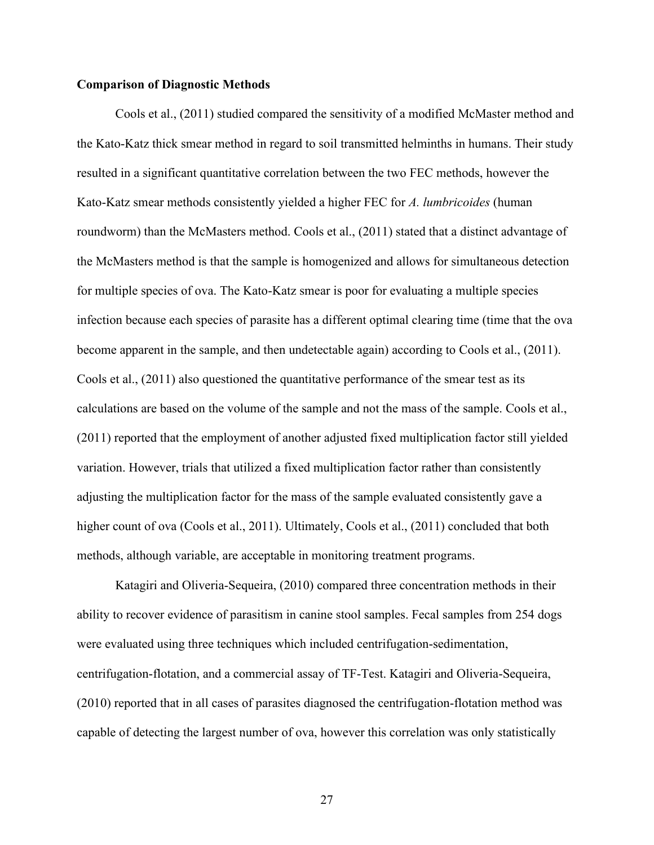#### **Comparison of Diagnostic Methods**

Cools et al., (2011) studied compared the sensitivity of a modified McMaster method and the Kato-Katz thick smear method in regard to soil transmitted helminths in humans. Their study resulted in a significant quantitative correlation between the two FEC methods, however the Kato-Katz smear methods consistently yielded a higher FEC for *A. lumbricoides* (human roundworm) than the McMasters method. Cools et al., (2011) stated that a distinct advantage of the McMasters method is that the sample is homogenized and allows for simultaneous detection for multiple species of ova. The Kato-Katz smear is poor for evaluating a multiple species infection because each species of parasite has a different optimal clearing time (time that the ova become apparent in the sample, and then undetectable again) according to Cools et al., (2011). Cools et al., (2011) also questioned the quantitative performance of the smear test as its calculations are based on the volume of the sample and not the mass of the sample. Cools et al., (2011) reported that the employment of another adjusted fixed multiplication factor still yielded variation. However, trials that utilized a fixed multiplication factor rather than consistently adjusting the multiplication factor for the mass of the sample evaluated consistently gave a higher count of ova (Cools et al., 2011). Ultimately, Cools et al., (2011) concluded that both methods, although variable, are acceptable in monitoring treatment programs.

Katagiri and Oliveria-Sequeira, (2010) compared three concentration methods in their ability to recover evidence of parasitism in canine stool samples. Fecal samples from 254 dogs were evaluated using three techniques which included centrifugation-sedimentation, centrifugation-flotation, and a commercial assay of TF-Test. Katagiri and Oliveria-Sequeira, (2010) reported that in all cases of parasites diagnosed the centrifugation-flotation method was capable of detecting the largest number of ova, however this correlation was only statistically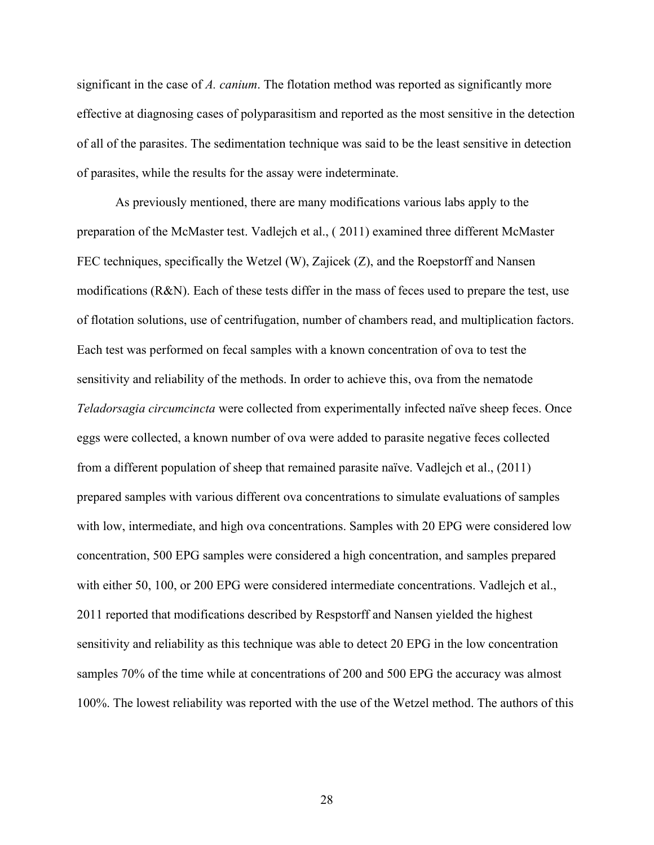significant in the case of *A. canium*. The flotation method was reported as significantly more effective at diagnosing cases of polyparasitism and reported as the most sensitive in the detection of all of the parasites. The sedimentation technique was said to be the least sensitive in detection of parasites, while the results for the assay were indeterminate.

As previously mentioned, there are many modifications various labs apply to the preparation of the McMaster test. Vadlejch et al., ( 2011) examined three different McMaster FEC techniques, specifically the Wetzel (W), Zajicek (Z), and the Roepstorff and Nansen modifications (R&N). Each of these tests differ in the mass of feces used to prepare the test, use of flotation solutions, use of centrifugation, number of chambers read, and multiplication factors. Each test was performed on fecal samples with a known concentration of ova to test the sensitivity and reliability of the methods. In order to achieve this, ova from the nematode *Teladorsagia circumcincta* were collected from experimentally infected naïve sheep feces. Once eggs were collected, a known number of ova were added to parasite negative feces collected from a different population of sheep that remained parasite naïve. Vadlejch et al., (2011) prepared samples with various different ova concentrations to simulate evaluations of samples with low, intermediate, and high ova concentrations. Samples with 20 EPG were considered low concentration, 500 EPG samples were considered a high concentration, and samples prepared with either 50, 100, or 200 EPG were considered intermediate concentrations. Vadlejch et al., 2011 reported that modifications described by Respstorff and Nansen yielded the highest sensitivity and reliability as this technique was able to detect 20 EPG in the low concentration samples 70% of the time while at concentrations of 200 and 500 EPG the accuracy was almost 100%. The lowest reliability was reported with the use of the Wetzel method. The authors of this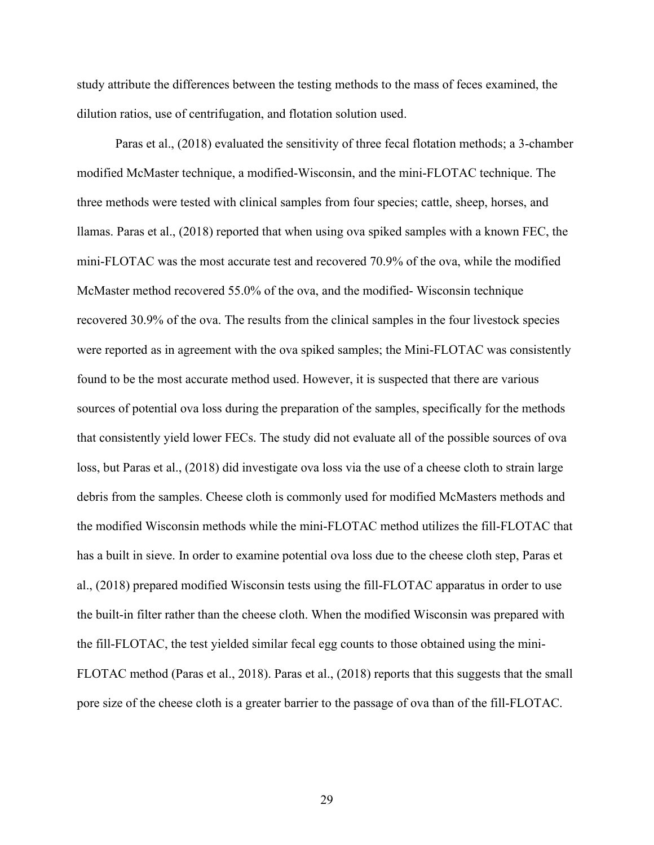study attribute the differences between the testing methods to the mass of feces examined, the dilution ratios, use of centrifugation, and flotation solution used.

Paras et al., (2018) evaluated the sensitivity of three fecal flotation methods; a 3-chamber modified McMaster technique, a modified-Wisconsin, and the mini-FLOTAC technique. The three methods were tested with clinical samples from four species; cattle, sheep, horses, and llamas. Paras et al., (2018) reported that when using ova spiked samples with a known FEC, the mini-FLOTAC was the most accurate test and recovered 70.9% of the ova, while the modified McMaster method recovered 55.0% of the ova, and the modified- Wisconsin technique recovered 30.9% of the ova. The results from the clinical samples in the four livestock species were reported as in agreement with the ova spiked samples; the Mini-FLOTAC was consistently found to be the most accurate method used. However, it is suspected that there are various sources of potential ova loss during the preparation of the samples, specifically for the methods that consistently yield lower FECs. The study did not evaluate all of the possible sources of ova loss, but Paras et al., (2018) did investigate ova loss via the use of a cheese cloth to strain large debris from the samples. Cheese cloth is commonly used for modified McMasters methods and the modified Wisconsin methods while the mini-FLOTAC method utilizes the fill-FLOTAC that has a built in sieve. In order to examine potential ova loss due to the cheese cloth step, Paras et al., (2018) prepared modified Wisconsin tests using the fill-FLOTAC apparatus in order to use the built-in filter rather than the cheese cloth. When the modified Wisconsin was prepared with the fill-FLOTAC, the test yielded similar fecal egg counts to those obtained using the mini-FLOTAC method (Paras et al., 2018). Paras et al., (2018) reports that this suggests that the small pore size of the cheese cloth is a greater barrier to the passage of ova than of the fill-FLOTAC.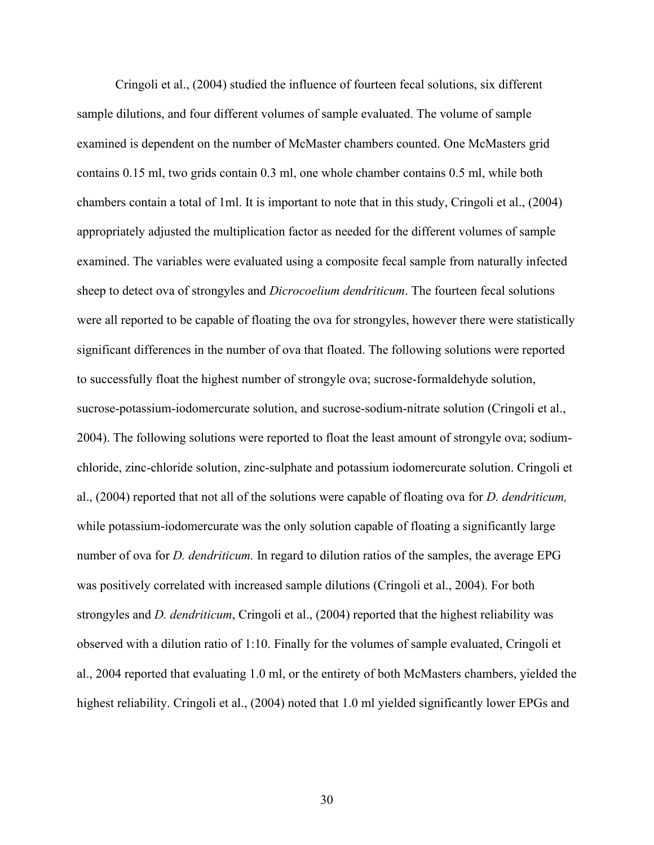Cringoli et al., (2004) studied the influence of fourteen fecal solutions, six different sample dilutions, and four different volumes of sample evaluated. The volume of sample examined is dependent on the number of McMaster chambers counted. One McMasters grid contains 0.15 ml, two grids contain 0.3 ml, one whole chamber contains 0.5 ml, while both chambers contain a total of 1ml. It is important to note that in this study, Cringoli et al., (2004) appropriately adjusted the multiplication factor as needed for the different volumes of sample examined. The variables were evaluated using a composite fecal sample from naturally infected sheep to detect ova of strongyles and *Dicrocoelium dendriticum*. The fourteen fecal solutions were all reported to be capable of floating the ova for strongyles, however there were statistically significant differences in the number of ova that floated. The following solutions were reported to successfully float the highest number of strongyle ova; sucrose-formaldehyde solution, sucrose-potassium-iodomercurate solution, and sucrose-sodium-nitrate solution (Cringoli et al., 2004). The following solutions were reported to float the least amount of strongyle ova; sodiumchloride, zinc-chloride solution, zinc-sulphate and potassium iodomercurate solution. Cringoli et al., (2004) reported that not all of the solutions were capable of floating ova for *D. dendriticum,*  while potassium-iodomercurate was the only solution capable of floating a significantly large number of ova for *D. dendriticum.* In regard to dilution ratios of the samples, the average EPG was positively correlated with increased sample dilutions (Cringoli et al., 2004). For both strongyles and *D. dendriticum*, Cringoli et al., (2004) reported that the highest reliability was observed with a dilution ratio of 1:10. Finally for the volumes of sample evaluated, Cringoli et al., 2004 reported that evaluating 1.0 ml, or the entirety of both McMasters chambers, yielded the highest reliability. Cringoli et al., (2004) noted that 1.0 ml yielded significantly lower EPGs and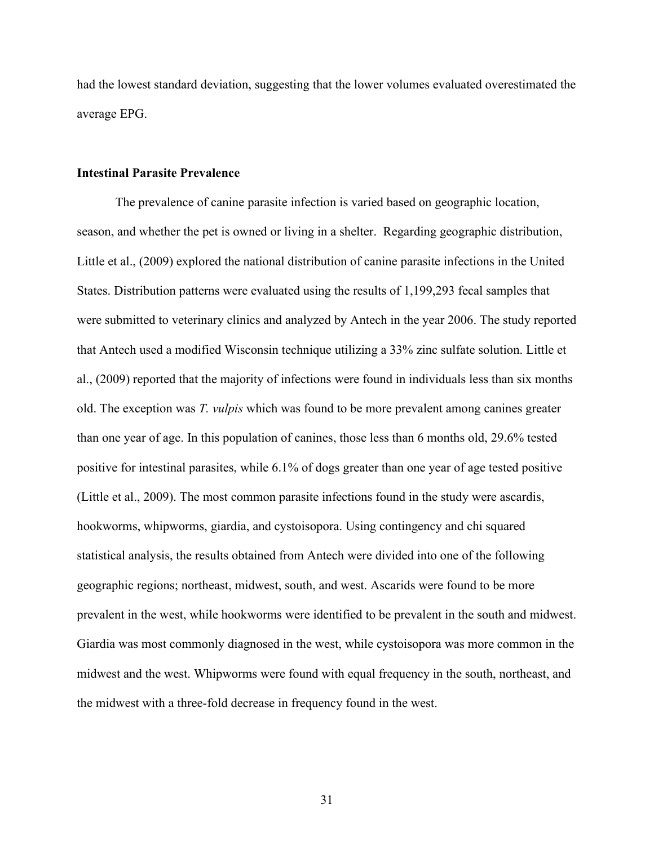had the lowest standard deviation, suggesting that the lower volumes evaluated overestimated the average EPG.

#### **Intestinal Parasite Prevalence**

The prevalence of canine parasite infection is varied based on geographic location, season, and whether the pet is owned or living in a shelter. Regarding geographic distribution, Little et al., (2009) explored the national distribution of canine parasite infections in the United States. Distribution patterns were evaluated using the results of 1,199,293 fecal samples that were submitted to veterinary clinics and analyzed by Antech in the year 2006. The study reported that Antech used a modified Wisconsin technique utilizing a 33% zinc sulfate solution. Little et al., (2009) reported that the majority of infections were found in individuals less than six months old. The exception was *T. vulpis* which was found to be more prevalent among canines greater than one year of age. In this population of canines, those less than 6 months old, 29.6% tested positive for intestinal parasites, while 6.1% of dogs greater than one year of age tested positive (Little et al., 2009). The most common parasite infections found in the study were ascardis, hookworms, whipworms, giardia, and cystoisopora. Using contingency and chi squared statistical analysis, the results obtained from Antech were divided into one of the following geographic regions; northeast, midwest, south, and west. Ascarids were found to be more prevalent in the west, while hookworms were identified to be prevalent in the south and midwest. Giardia was most commonly diagnosed in the west, while cystoisopora was more common in the midwest and the west. Whipworms were found with equal frequency in the south, northeast, and the midwest with a three-fold decrease in frequency found in the west.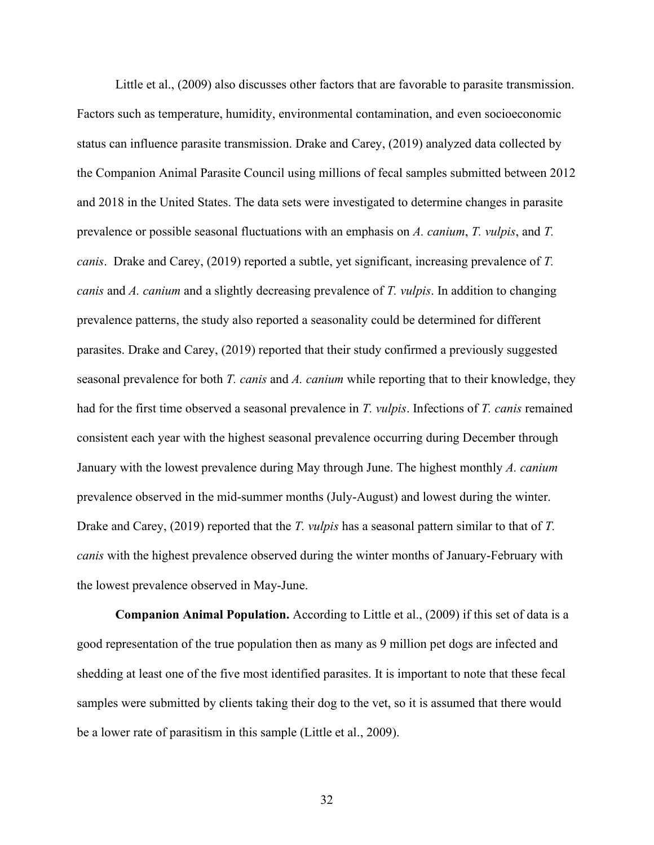Little et al., (2009) also discusses other factors that are favorable to parasite transmission. Factors such as temperature, humidity, environmental contamination, and even socioeconomic status can influence parasite transmission. Drake and Carey, (2019) analyzed data collected by the Companion Animal Parasite Council using millions of fecal samples submitted between 2012 and 2018 in the United States. The data sets were investigated to determine changes in parasite prevalence or possible seasonal fluctuations with an emphasis on *A. canium*, *T. vulpis*, and *T. canis*. Drake and Carey, (2019) reported a subtle, yet significant, increasing prevalence of *T. canis* and *A. canium* and a slightly decreasing prevalence of *T. vulpis*. In addition to changing prevalence patterns, the study also reported a seasonality could be determined for different parasites. Drake and Carey, (2019) reported that their study confirmed a previously suggested seasonal prevalence for both *T. canis* and *A. canium* while reporting that to their knowledge, they had for the first time observed a seasonal prevalence in *T. vulpis*. Infections of *T. canis* remained consistent each year with the highest seasonal prevalence occurring during December through January with the lowest prevalence during May through June. The highest monthly *A. canium* prevalence observed in the mid-summer months (July-August) and lowest during the winter. Drake and Carey, (2019) reported that the *T. vulpis* has a seasonal pattern similar to that of *T. canis* with the highest prevalence observed during the winter months of January-February with the lowest prevalence observed in May-June.

**Companion Animal Population.** According to Little et al., (2009) if this set of data is a good representation of the true population then as many as 9 million pet dogs are infected and shedding at least one of the five most identified parasites. It is important to note that these fecal samples were submitted by clients taking their dog to the vet, so it is assumed that there would be a lower rate of parasitism in this sample (Little et al., 2009).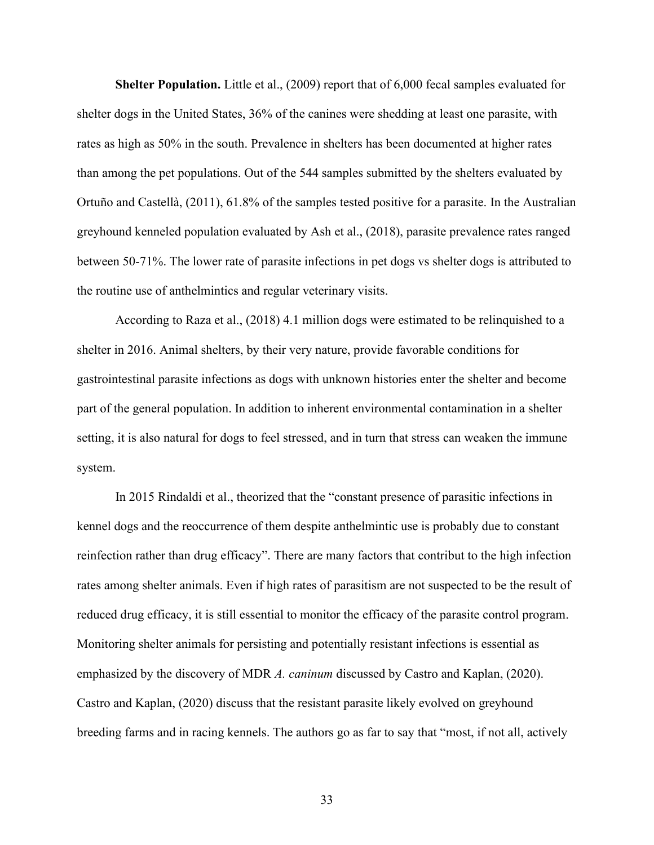**Shelter Population.** Little et al., (2009) report that of 6,000 fecal samples evaluated for shelter dogs in the United States, 36% of the canines were shedding at least one parasite, with rates as high as 50% in the south. Prevalence in shelters has been documented at higher rates than among the pet populations. Out of the 544 samples submitted by the shelters evaluated by Ortuño and Castellà, (2011), 61.8% of the samples tested positive for a parasite. In the Australian greyhound kenneled population evaluated by Ash et al., (2018), parasite prevalence rates ranged between 50-71%. The lower rate of parasite infections in pet dogs vs shelter dogs is attributed to the routine use of anthelmintics and regular veterinary visits.

According to Raza et al., (2018) 4.1 million dogs were estimated to be relinquished to a shelter in 2016. Animal shelters, by their very nature, provide favorable conditions for gastrointestinal parasite infections as dogs with unknown histories enter the shelter and become part of the general population. In addition to inherent environmental contamination in a shelter setting, it is also natural for dogs to feel stressed, and in turn that stress can weaken the immune system.

In 2015 Rindaldi et al., theorized that the "constant presence of parasitic infections in kennel dogs and the reoccurrence of them despite anthelmintic use is probably due to constant reinfection rather than drug efficacy". There are many factors that contribut to the high infection rates among shelter animals. Even if high rates of parasitism are not suspected to be the result of reduced drug efficacy, it is still essential to monitor the efficacy of the parasite control program. Monitoring shelter animals for persisting and potentially resistant infections is essential as emphasized by the discovery of MDR *A. caninum* discussed by Castro and Kaplan, (2020). Castro and Kaplan, (2020) discuss that the resistant parasite likely evolved on greyhound breeding farms and in racing kennels. The authors go as far to say that "most, if not all, actively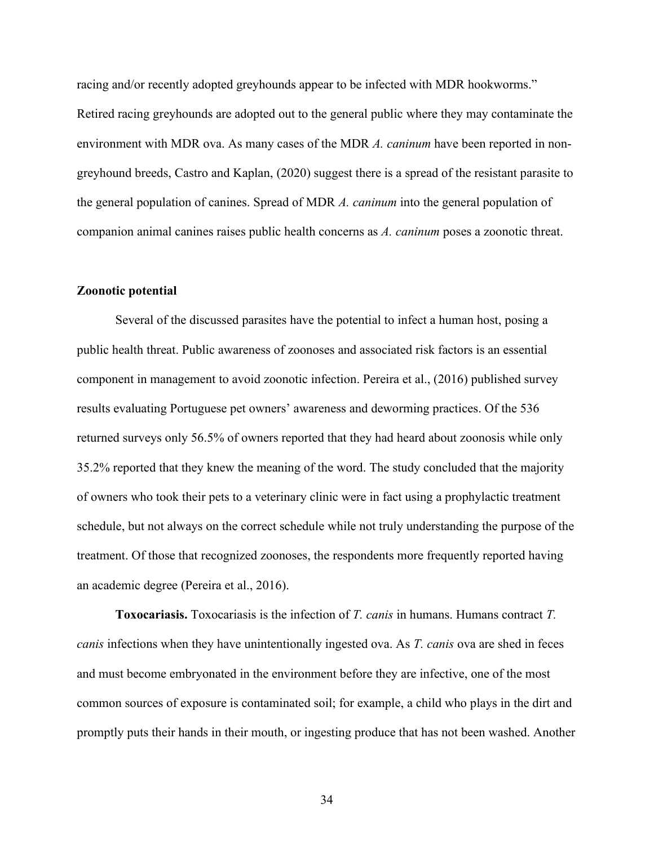racing and/or recently adopted greyhounds appear to be infected with MDR hookworms." Retired racing greyhounds are adopted out to the general public where they may contaminate the environment with MDR ova. As many cases of the MDR *A. caninum* have been reported in nongreyhound breeds, Castro and Kaplan, (2020) suggest there is a spread of the resistant parasite to the general population of canines. Spread of MDR *A. caninum* into the general population of companion animal canines raises public health concerns as *A. caninum* poses a zoonotic threat.

#### **Zoonotic potential**

Several of the discussed parasites have the potential to infect a human host, posing a public health threat. Public awareness of zoonoses and associated risk factors is an essential component in management to avoid zoonotic infection. Pereira et al., (2016) published survey results evaluating Portuguese pet owners' awareness and deworming practices. Of the 536 returned surveys only 56.5% of owners reported that they had heard about zoonosis while only 35.2% reported that they knew the meaning of the word. The study concluded that the majority of owners who took their pets to a veterinary clinic were in fact using a prophylactic treatment schedule, but not always on the correct schedule while not truly understanding the purpose of the treatment. Of those that recognized zoonoses, the respondents more frequently reported having an academic degree (Pereira et al., 2016).

**Toxocariasis.** Toxocariasis is the infection of *T. canis* in humans. Humans contract *T. canis* infections when they have unintentionally ingested ova. As *T. canis* ova are shed in feces and must become embryonated in the environment before they are infective, one of the most common sources of exposure is contaminated soil; for example, a child who plays in the dirt and promptly puts their hands in their mouth, or ingesting produce that has not been washed. Another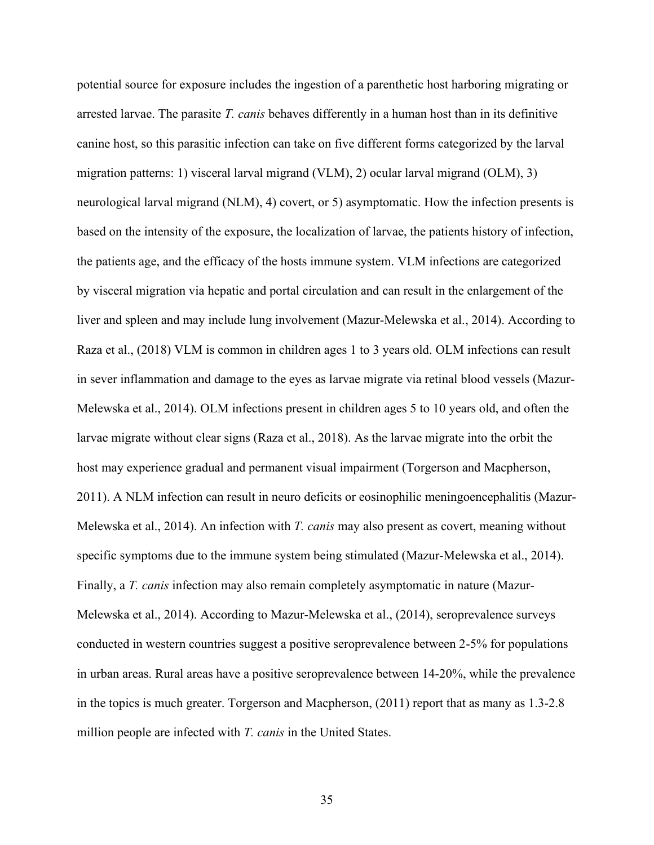potential source for exposure includes the ingestion of a parenthetic host harboring migrating or arrested larvae. The parasite *T. canis* behaves differently in a human host than in its definitive canine host, so this parasitic infection can take on five different forms categorized by the larval migration patterns: 1) visceral larval migrand (VLM), 2) ocular larval migrand (OLM), 3) neurological larval migrand (NLM), 4) covert, or 5) asymptomatic. How the infection presents is based on the intensity of the exposure, the localization of larvae, the patients history of infection, the patients age, and the efficacy of the hosts immune system. VLM infections are categorized by visceral migration via hepatic and portal circulation and can result in the enlargement of the liver and spleen and may include lung involvement (Mazur-Melewska et al., 2014). According to Raza et al., (2018) VLM is common in children ages 1 to 3 years old. OLM infections can result in sever inflammation and damage to the eyes as larvae migrate via retinal blood vessels (Mazur-Melewska et al., 2014). OLM infections present in children ages 5 to 10 years old, and often the larvae migrate without clear signs (Raza et al., 2018). As the larvae migrate into the orbit the host may experience gradual and permanent visual impairment (Torgerson and Macpherson, 2011). A NLM infection can result in neuro deficits or eosinophilic meningoencephalitis (Mazur-Melewska et al., 2014). An infection with *T. canis* may also present as covert, meaning without specific symptoms due to the immune system being stimulated (Mazur-Melewska et al., 2014). Finally, a *T. canis* infection may also remain completely asymptomatic in nature (Mazur-Melewska et al., 2014). According to Mazur-Melewska et al., (2014), seroprevalence surveys conducted in western countries suggest a positive seroprevalence between 2-5% for populations in urban areas. Rural areas have a positive seroprevalence between 14-20%, while the prevalence in the topics is much greater. Torgerson and Macpherson, (2011) report that as many as 1.3-2.8 million people are infected with *T. canis* in the United States.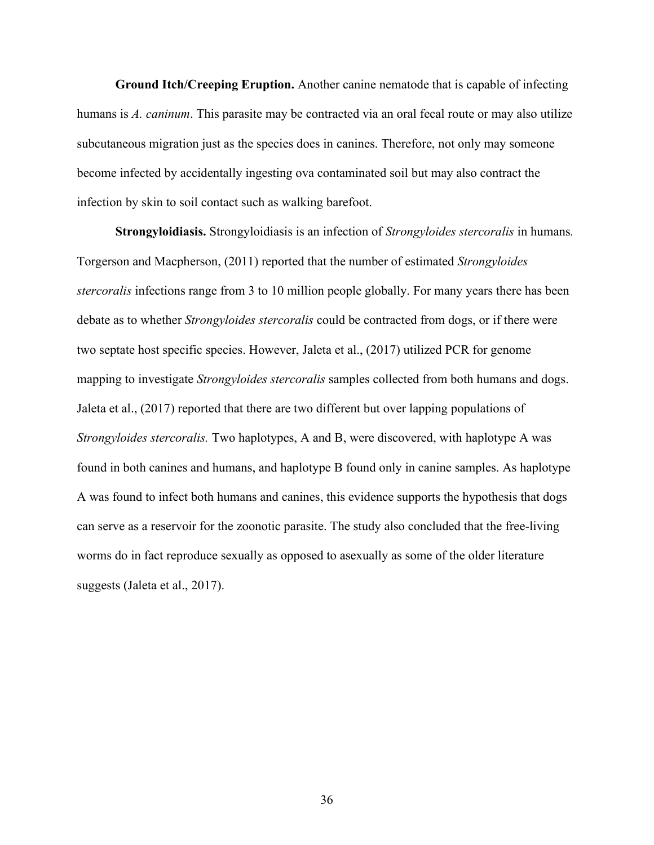**Ground Itch/Creeping Eruption.** Another canine nematode that is capable of infecting humans is *A. caninum*. This parasite may be contracted via an oral fecal route or may also utilize subcutaneous migration just as the species does in canines. Therefore, not only may someone become infected by accidentally ingesting ova contaminated soil but may also contract the infection by skin to soil contact such as walking barefoot.

**Strongyloidiasis.** Strongyloidiasis is an infection of *Strongyloides stercoralis* in humans*.*  Torgerson and Macpherson, (2011) reported that the number of estimated *Strongyloides stercoralis* infections range from 3 to 10 million people globally. For many years there has been debate as to whether *Strongyloides stercoralis* could be contracted from dogs, or if there were two septate host specific species. However, Jaleta et al., (2017) utilized PCR for genome mapping to investigate *Strongyloides stercoralis* samples collected from both humans and dogs. Jaleta et al., (2017) reported that there are two different but over lapping populations of *Strongyloides stercoralis.* Two haplotypes, A and B, were discovered, with haplotype A was found in both canines and humans, and haplotype B found only in canine samples. As haplotype A was found to infect both humans and canines, this evidence supports the hypothesis that dogs can serve as a reservoir for the zoonotic parasite. The study also concluded that the free-living worms do in fact reproduce sexually as opposed to asexually as some of the older literature suggests (Jaleta et al., 2017).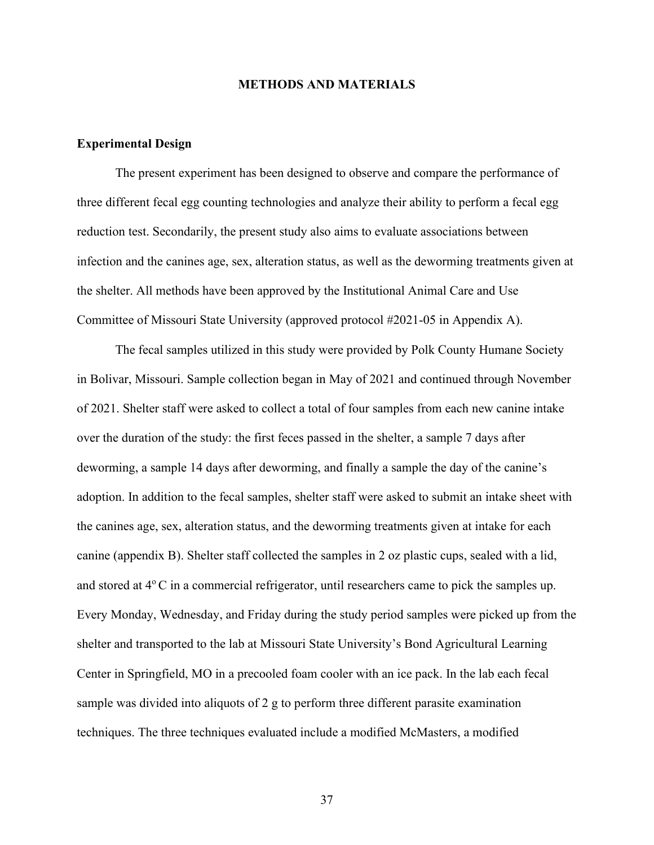#### **METHODS AND MATERIALS**

#### **Experimental Design**

The present experiment has been designed to observe and compare the performance of three different fecal egg counting technologies and analyze their ability to perform a fecal egg reduction test. Secondarily, the present study also aims to evaluate associations between infection and the canines age, sex, alteration status, as well as the deworming treatments given at the shelter. All methods have been approved by the Institutional Animal Care and Use Committee of Missouri State University (approved protocol #2021-05 in Appendix A).

The fecal samples utilized in this study were provided by Polk County Humane Society in Bolivar, Missouri. Sample collection began in May of 2021 and continued through November of 2021. Shelter staff were asked to collect a total of four samples from each new canine intake over the duration of the study: the first feces passed in the shelter, a sample 7 days after deworming, a sample 14 days after deworming, and finally a sample the day of the canine's adoption. In addition to the fecal samples, shelter staff were asked to submit an intake sheet with the canines age, sex, alteration status, and the deworming treatments given at intake for each canine (appendix B). Shelter staff collected the samples in 2 oz plastic cups, sealed with a lid, and stored at  $4^{\circ}$ C in a commercial refrigerator, until researchers came to pick the samples up. Every Monday, Wednesday, and Friday during the study period samples were picked up from the shelter and transported to the lab at Missouri State University's Bond Agricultural Learning Center in Springfield, MO in a precooled foam cooler with an ice pack. In the lab each fecal sample was divided into aliquots of 2 g to perform three different parasite examination techniques. The three techniques evaluated include a modified McMasters, a modified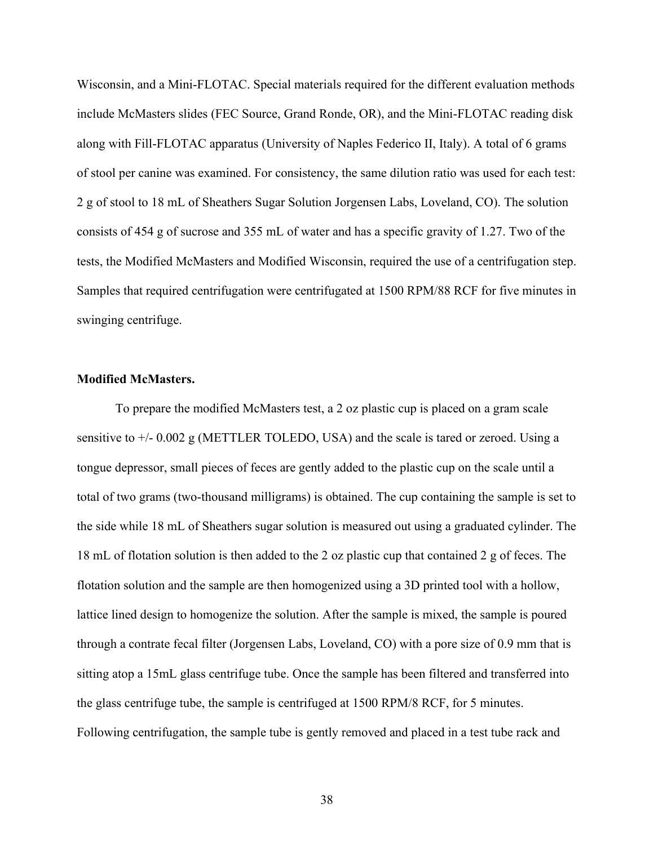Wisconsin, and a Mini-FLOTAC. Special materials required for the different evaluation methods include McMasters slides (FEC Source, Grand Ronde, OR), and the Mini-FLOTAC reading disk along with Fill-FLOTAC apparatus (University of Naples Federico II, Italy). A total of 6 grams of stool per canine was examined. For consistency, the same dilution ratio was used for each test: 2 g of stool to 18 mL of Sheathers Sugar Solution Jorgensen Labs, Loveland, CO). The solution consists of 454 g of sucrose and 355 mL of water and has a specific gravity of 1.27. Two of the tests, the Modified McMasters and Modified Wisconsin, required the use of a centrifugation step. Samples that required centrifugation were centrifugated at 1500 RPM/88 RCF for five minutes in swinging centrifuge.

#### **Modified McMasters.**

To prepare the modified McMasters test, a 2 oz plastic cup is placed on a gram scale sensitive to  $+/- 0.002$  g (METTLER TOLEDO, USA) and the scale is tared or zeroed. Using a tongue depressor, small pieces of feces are gently added to the plastic cup on the scale until a total of two grams (two-thousand milligrams) is obtained. The cup containing the sample is set to the side while 18 mL of Sheathers sugar solution is measured out using a graduated cylinder. The 18 mL of flotation solution is then added to the 2 oz plastic cup that contained 2 g of feces. The flotation solution and the sample are then homogenized using a 3D printed tool with a hollow, lattice lined design to homogenize the solution. After the sample is mixed, the sample is poured through a contrate fecal filter (Jorgensen Labs, Loveland, CO) with a pore size of 0.9 mm that is sitting atop a 15mL glass centrifuge tube. Once the sample has been filtered and transferred into the glass centrifuge tube, the sample is centrifuged at 1500 RPM/8 RCF, for 5 minutes. Following centrifugation, the sample tube is gently removed and placed in a test tube rack and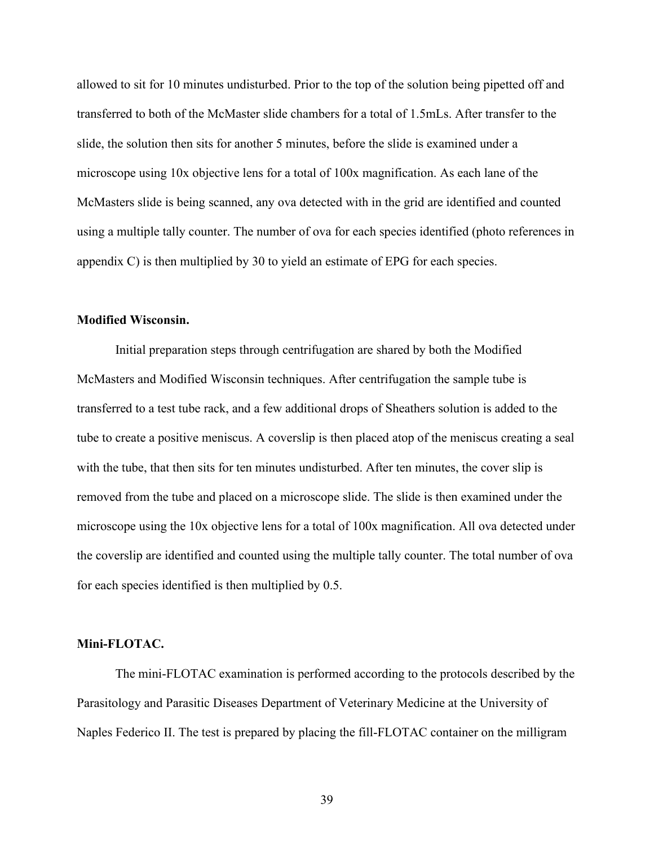allowed to sit for 10 minutes undisturbed. Prior to the top of the solution being pipetted off and transferred to both of the McMaster slide chambers for a total of 1.5mLs. After transfer to the slide, the solution then sits for another 5 minutes, before the slide is examined under a microscope using 10x objective lens for a total of 100x magnification. As each lane of the McMasters slide is being scanned, any ova detected with in the grid are identified and counted using a multiple tally counter. The number of ova for each species identified (photo references in appendix C) is then multiplied by 30 to yield an estimate of EPG for each species.

## **Modified Wisconsin.**

Initial preparation steps through centrifugation are shared by both the Modified McMasters and Modified Wisconsin techniques. After centrifugation the sample tube is transferred to a test tube rack, and a few additional drops of Sheathers solution is added to the tube to create a positive meniscus. A coverslip is then placed atop of the meniscus creating a seal with the tube, that then sits for ten minutes undisturbed. After ten minutes, the cover slip is removed from the tube and placed on a microscope slide. The slide is then examined under the microscope using the 10x objective lens for a total of 100x magnification. All ova detected under the coverslip are identified and counted using the multiple tally counter. The total number of ova for each species identified is then multiplied by 0.5.

#### **Mini-FLOTAC.**

The mini-FLOTAC examination is performed according to the protocols described by the Parasitology and Parasitic Diseases Department of Veterinary Medicine at the University of Naples Federico II. The test is prepared by placing the fill-FLOTAC container on the milligram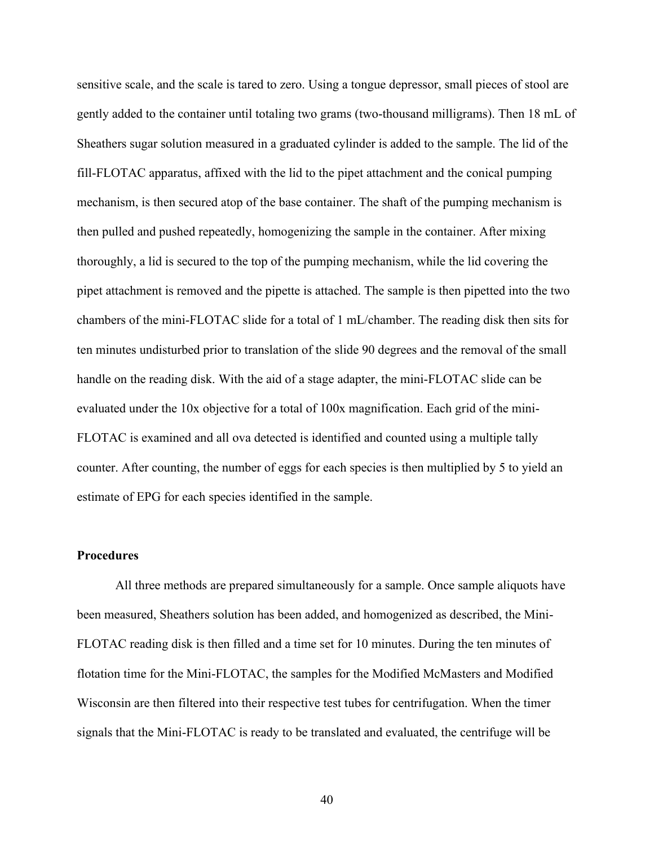sensitive scale, and the scale is tared to zero. Using a tongue depressor, small pieces of stool are gently added to the container until totaling two grams (two-thousand milligrams). Then 18 mL of Sheathers sugar solution measured in a graduated cylinder is added to the sample. The lid of the fill-FLOTAC apparatus, affixed with the lid to the pipet attachment and the conical pumping mechanism, is then secured atop of the base container. The shaft of the pumping mechanism is then pulled and pushed repeatedly, homogenizing the sample in the container. After mixing thoroughly, a lid is secured to the top of the pumping mechanism, while the lid covering the pipet attachment is removed and the pipette is attached. The sample is then pipetted into the two chambers of the mini-FLOTAC slide for a total of 1 mL/chamber. The reading disk then sits for ten minutes undisturbed prior to translation of the slide 90 degrees and the removal of the small handle on the reading disk. With the aid of a stage adapter, the mini-FLOTAC slide can be evaluated under the 10x objective for a total of 100x magnification. Each grid of the mini-FLOTAC is examined and all ova detected is identified and counted using a multiple tally counter. After counting, the number of eggs for each species is then multiplied by 5 to yield an estimate of EPG for each species identified in the sample.

## **Procedures**

All three methods are prepared simultaneously for a sample. Once sample aliquots have been measured, Sheathers solution has been added, and homogenized as described, the Mini-FLOTAC reading disk is then filled and a time set for 10 minutes. During the ten minutes of flotation time for the Mini-FLOTAC, the samples for the Modified McMasters and Modified Wisconsin are then filtered into their respective test tubes for centrifugation. When the timer signals that the Mini-FLOTAC is ready to be translated and evaluated, the centrifuge will be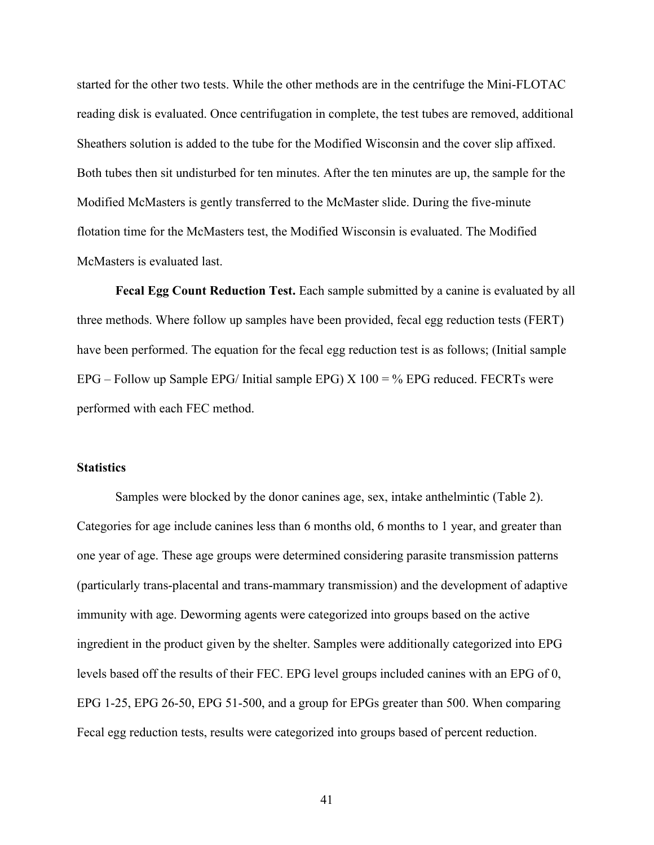started for the other two tests. While the other methods are in the centrifuge the Mini-FLOTAC reading disk is evaluated. Once centrifugation in complete, the test tubes are removed, additional Sheathers solution is added to the tube for the Modified Wisconsin and the cover slip affixed. Both tubes then sit undisturbed for ten minutes. After the ten minutes are up, the sample for the Modified McMasters is gently transferred to the McMaster slide. During the five-minute flotation time for the McMasters test, the Modified Wisconsin is evaluated. The Modified McMasters is evaluated last.

**Fecal Egg Count Reduction Test.** Each sample submitted by a canine is evaluated by all three methods. Where follow up samples have been provided, fecal egg reduction tests (FERT) have been performed. The equation for the fecal egg reduction test is as follows; (Initial sample EPG – Follow up Sample EPG/ Initial sample EPG)  $X$  100 = % EPG reduced. FECRTs were performed with each FEC method.

#### **Statistics**

Samples were blocked by the donor canines age, sex, intake anthelmintic (Table 2). Categories for age include canines less than 6 months old, 6 months to 1 year, and greater than one year of age. These age groups were determined considering parasite transmission patterns (particularly trans-placental and trans-mammary transmission) and the development of adaptive immunity with age. Deworming agents were categorized into groups based on the active ingredient in the product given by the shelter. Samples were additionally categorized into EPG levels based off the results of their FEC. EPG level groups included canines with an EPG of 0, EPG 1-25, EPG 26-50, EPG 51-500, and a group for EPGs greater than 500. When comparing Fecal egg reduction tests, results were categorized into groups based of percent reduction.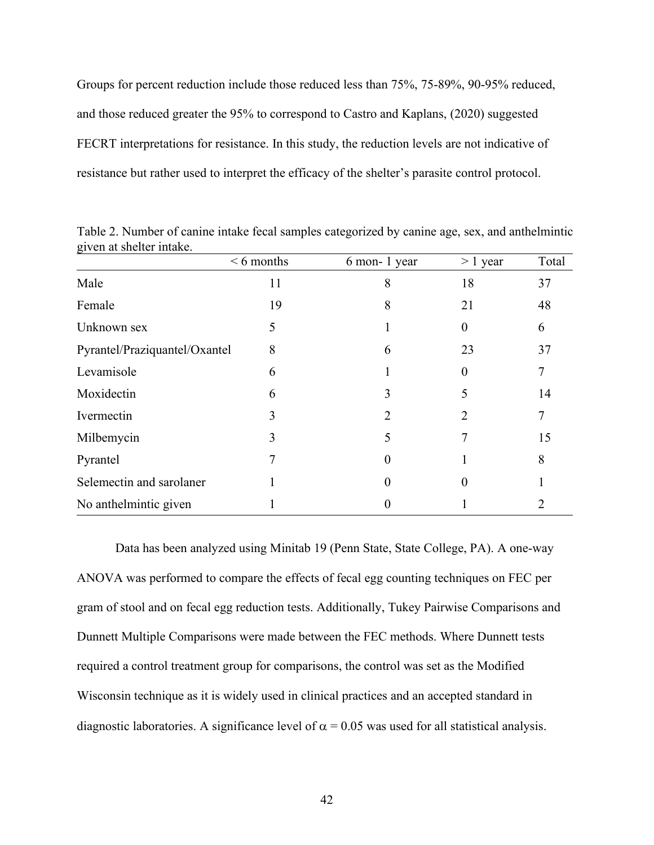Groups for percent reduction include those reduced less than 75%, 75-89%, 90-95% reduced, and those reduced greater the 95% to correspond to Castro and Kaplans, (2020) suggested FECRT interpretations for resistance. In this study, the reduction levels are not indicative of resistance but rather used to interpret the efficacy of the shelter's parasite control protocol.

|                               | $< 6$ months | 6 mon-1 year | $> 1$ year       | Total |
|-------------------------------|--------------|--------------|------------------|-------|
| Male                          | 11           |              | 18               | 37    |
| Female                        | 19           | 8            | 21               | 48    |
| Unknown sex                   | 5            |              | $\boldsymbol{0}$ | 6     |
| Pyrantel/Praziquantel/Oxantel | 8            | 6            | 23               | 37    |
| Levamisole                    | 6            |              | $\theta$         | 7     |
| Moxidectin                    | 6            |              | 5                | 14    |
| Ivermectin                    | 3            |              | 2                | 7     |
| Milbemycin                    |              |              |                  | 15    |
| Pyrantel                      |              |              |                  | 8     |
| Selemectin and sarolaner      |              |              | 0                |       |
| No anthelmintic given         |              |              |                  |       |

Table 2. Number of canine intake fecal samples categorized by canine age, sex, and anthelmintic given at shelter intake.

Data has been analyzed using Minitab 19 (Penn State, State College, PA). A one-way ANOVA was performed to compare the effects of fecal egg counting techniques on FEC per gram of stool and on fecal egg reduction tests. Additionally, Tukey Pairwise Comparisons and Dunnett Multiple Comparisons were made between the FEC methods. Where Dunnett tests required a control treatment group for comparisons, the control was set as the Modified Wisconsin technique as it is widely used in clinical practices and an accepted standard in diagnostic laboratories. A significance level of  $\alpha = 0.05$  was used for all statistical analysis.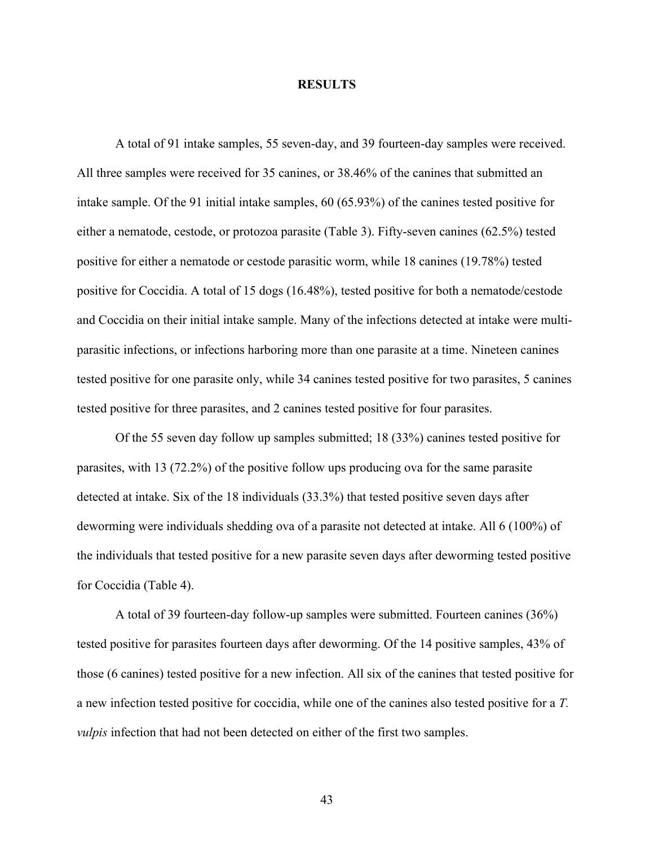#### **RESULTS**

A total of 91 intake samples, 55 seven-day, and 39 fourteen-day samples were received. All three samples were received for 35 canines, or 38.46% of the canines that submitted an intake sample. Of the 91 initial intake samples, 60 (65.93%) of the canines tested positive for either a nematode, cestode, or protozoa parasite (Table 3). Fifty-seven canines (62.5%) tested positive for either a nematode or cestode parasitic worm, while 18 canines (19.78%) tested positive for Coccidia. A total of 15 dogs (16.48%), tested positive for both a nematode/cestode and Coccidia on their initial intake sample. Many of the infections detected at intake were multiparasitic infections, or infections harboring more than one parasite at a time. Nineteen canines tested positive for one parasite only, while 34 canines tested positive for two parasites, 5 canines tested positive for three parasites, and 2 canines tested positive for four parasites.

Of the 55 seven day follow up samples submitted; 18 (33%) canines tested positive for parasites, with 13 (72.2%) of the positive follow ups producing ova for the same parasite detected at intake. Six of the 18 individuals (33.3%) that tested positive seven days after deworming were individuals shedding ova of a parasite not detected at intake. All 6 (100%) of the individuals that tested positive for a new parasite seven days after deworming tested positive for Coccidia (Table 4).

A total of 39 fourteen-day follow-up samples were submitted. Fourteen canines (36%) tested positive for parasites fourteen days after deworming. Of the 14 positive samples, 43% of those (6 canines) tested positive for a new infection. All six of the canines that tested positive for a new infection tested positive for coccidia, while one of the canines also tested positive for a *T. vulpis* infection that had not been detected on either of the first two samples.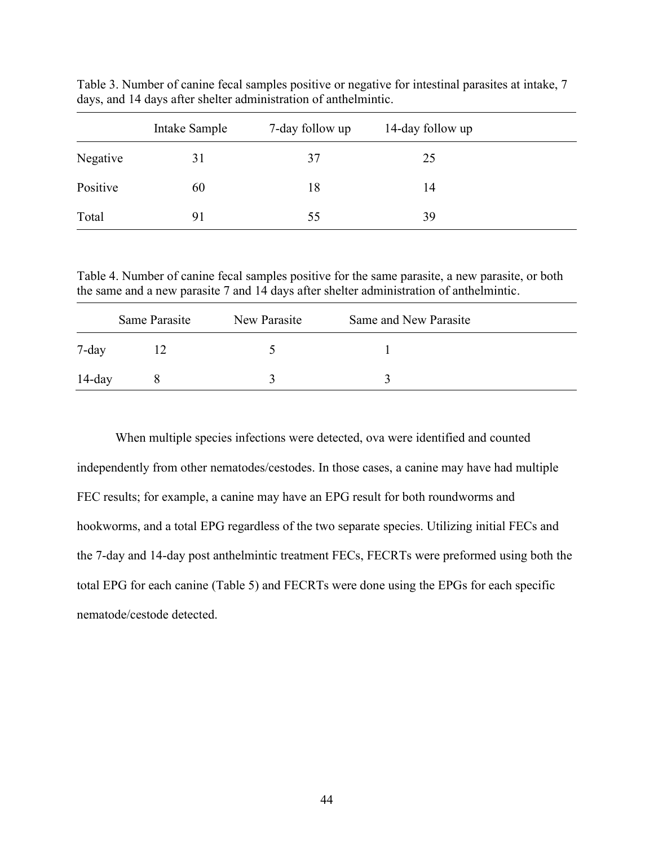|          | Intake Sample | 7-day follow up | 14-day follow up |  |
|----------|---------------|-----------------|------------------|--|
| Negative | 31            | 37              | 25               |  |
| Positive | 60            | 18              | 14               |  |
| Total    | 91            | 55              | 39               |  |

Table 3. Number of canine fecal samples positive or negative for intestinal parasites at intake, 7 days, and 14 days after shelter administration of anthelmintic.

Table 4. Number of canine fecal samples positive for the same parasite, a new parasite, or both the same and a new parasite 7 and 14 days after shelter administration of anthelmintic.

|        | Same Parasite | New Parasite | Same and New Parasite |  |
|--------|---------------|--------------|-----------------------|--|
| 7-day  |               |              |                       |  |
| 14-day |               |              |                       |  |

When multiple species infections were detected, ova were identified and counted independently from other nematodes/cestodes. In those cases, a canine may have had multiple FEC results; for example, a canine may have an EPG result for both roundworms and hookworms, and a total EPG regardless of the two separate species. Utilizing initial FECs and the 7-day and 14-day post anthelmintic treatment FECs, FECRTs were preformed using both the total EPG for each canine (Table 5) and FECRTs were done using the EPGs for each specific nematode/cestode detected.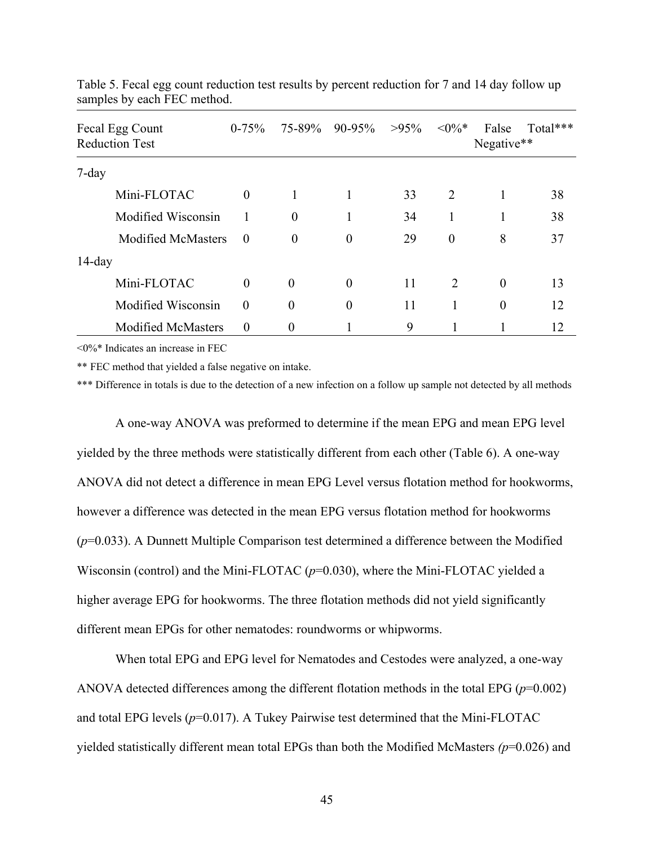| Fecal Egg Count<br><b>Reduction Test</b> | $0 - 75%$      | 75-89%         | 90-95%           | $>95\%$ | $<0\%*$        | False<br>Negative** | Total*** |
|------------------------------------------|----------------|----------------|------------------|---------|----------------|---------------------|----------|
| $7$ -day                                 |                |                |                  |         |                |                     |          |
| Mini-FLOTAC                              | $\theta$       |                |                  | 33      | $\overline{2}$ |                     | 38       |
| Modified Wisconsin                       |                | $\overline{0}$ | 1                | 34      |                |                     | 38       |
| <b>Modified McMasters</b>                | $\overline{0}$ | $\theta$       | $\boldsymbol{0}$ | 29      | $\theta$       | 8                   | 37       |
| $14$ -day                                |                |                |                  |         |                |                     |          |
| Mini-FLOTAC                              | $\theta$       | $\theta$       | $\theta$         | 11      | 2              | $\theta$            | 13       |
| Modified Wisconsin                       | $\theta$       | $\theta$       | $\boldsymbol{0}$ | 11      |                | $\theta$            | 12       |
| <b>Modified McMasters</b>                | $\overline{0}$ | $\overline{0}$ |                  | 9       |                |                     | 12       |

Table 5. Fecal egg count reduction test results by percent reduction for 7 and 14 day follow up samples by each FEC method.

<0%\* Indicates an increase in FEC

\*\* FEC method that yielded a false negative on intake.

\*\*\* Difference in totals is due to the detection of a new infection on a follow up sample not detected by all methods

A one-way ANOVA was preformed to determine if the mean EPG and mean EPG level yielded by the three methods were statistically different from each other (Table 6). A one-way ANOVA did not detect a difference in mean EPG Level versus flotation method for hookworms, however a difference was detected in the mean EPG versus flotation method for hookworms (*p*=0.033). A Dunnett Multiple Comparison test determined a difference between the Modified Wisconsin (control) and the Mini-FLOTAC ( $p=0.030$ ), where the Mini-FLOTAC yielded a higher average EPG for hookworms. The three flotation methods did not yield significantly different mean EPGs for other nematodes: roundworms or whipworms.

When total EPG and EPG level for Nematodes and Cestodes were analyzed, a one-way ANOVA detected differences among the different flotation methods in the total EPG (*p*=0.002) and total EPG levels  $(p=0.017)$ . A Tukey Pairwise test determined that the Mini-FLOTAC yielded statistically different mean total EPGs than both the Modified McMasters *(p*=0.026) and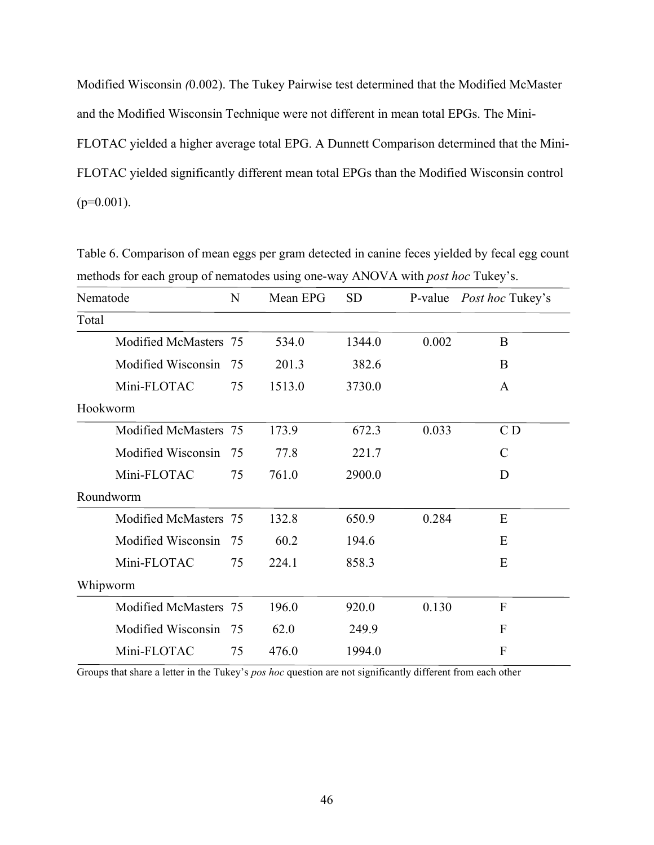Modified Wisconsin *(*0.002). The Tukey Pairwise test determined that the Modified McMaster and the Modified Wisconsin Technique were not different in mean total EPGs. The Mini-FLOTAC yielded a higher average total EPG. A Dunnett Comparison determined that the Mini-FLOTAC yielded significantly different mean total EPGs than the Modified Wisconsin control  $(p=0.001)$ .

| Nematode              | N   | Mean EPG | <b>SD</b> | P-value | <i>Post hoc</i> Tukey's |
|-----------------------|-----|----------|-----------|---------|-------------------------|
| Total                 |     |          |           |         |                         |
| Modified McMasters 75 |     | 534.0    | 1344.0    | 0.002   | B                       |
| Modified Wisconsin    | -75 | 201.3    | 382.6     |         | B                       |
| Mini-FLOTAC           | 75  | 1513.0   | 3730.0    |         | A                       |
| Hookworm              |     |          |           |         |                         |
| Modified McMasters 75 |     | 173.9    | 672.3     | 0.033   | C <sub>D</sub>          |
| Modified Wisconsin    | 75  | 77.8     | 221.7     |         | C                       |
| Mini-FLOTAC           | 75  | 761.0    | 2900.0    |         | D                       |
| Roundworm             |     |          |           |         |                         |
| Modified McMasters 75 |     | 132.8    | 650.9     | 0.284   | E                       |
| Modified Wisconsin    | 75  | 60.2     | 194.6     |         | E                       |
| Mini-FLOTAC           | 75  | 224.1    | 858.3     |         | E                       |
| Whipworm              |     |          |           |         |                         |
| Modified McMasters 75 |     | 196.0    | 920.0     | 0.130   | $\overline{F}$          |
| Modified Wisconsin    | 75  | 62.0     | 249.9     |         | $\overline{F}$          |
| Mini-FLOTAC           | 75  | 476.0    | 1994.0    |         | $\overline{F}$          |

Table 6. Comparison of mean eggs per gram detected in canine feces yielded by fecal egg count methods for each group of nematodes using one-way ANOVA with *post hoc* Tukey's.

Groups that share a letter in the Tukey's *pos hoc* question are not significantly different from each other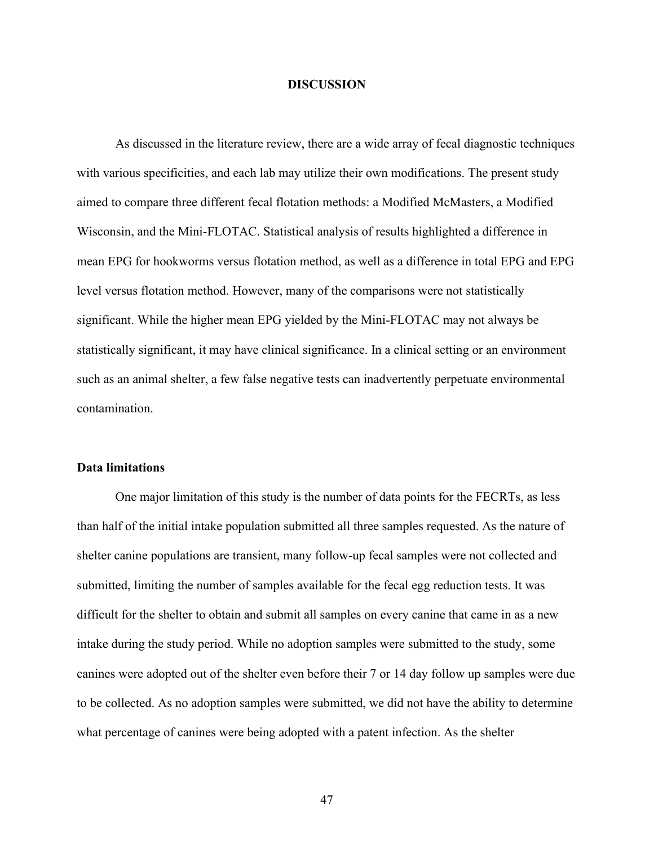#### **DISCUSSION**

As discussed in the literature review, there are a wide array of fecal diagnostic techniques with various specificities, and each lab may utilize their own modifications. The present study aimed to compare three different fecal flotation methods: a Modified McMasters, a Modified Wisconsin, and the Mini-FLOTAC. Statistical analysis of results highlighted a difference in mean EPG for hookworms versus flotation method, as well as a difference in total EPG and EPG level versus flotation method. However, many of the comparisons were not statistically significant. While the higher mean EPG yielded by the Mini-FLOTAC may not always be statistically significant, it may have clinical significance. In a clinical setting or an environment such as an animal shelter, a few false negative tests can inadvertently perpetuate environmental contamination.

#### **Data limitations**

One major limitation of this study is the number of data points for the FECRTs, as less than half of the initial intake population submitted all three samples requested. As the nature of shelter canine populations are transient, many follow-up fecal samples were not collected and submitted, limiting the number of samples available for the fecal egg reduction tests. It was difficult for the shelter to obtain and submit all samples on every canine that came in as a new intake during the study period. While no adoption samples were submitted to the study, some canines were adopted out of the shelter even before their 7 or 14 day follow up samples were due to be collected. As no adoption samples were submitted, we did not have the ability to determine what percentage of canines were being adopted with a patent infection. As the shelter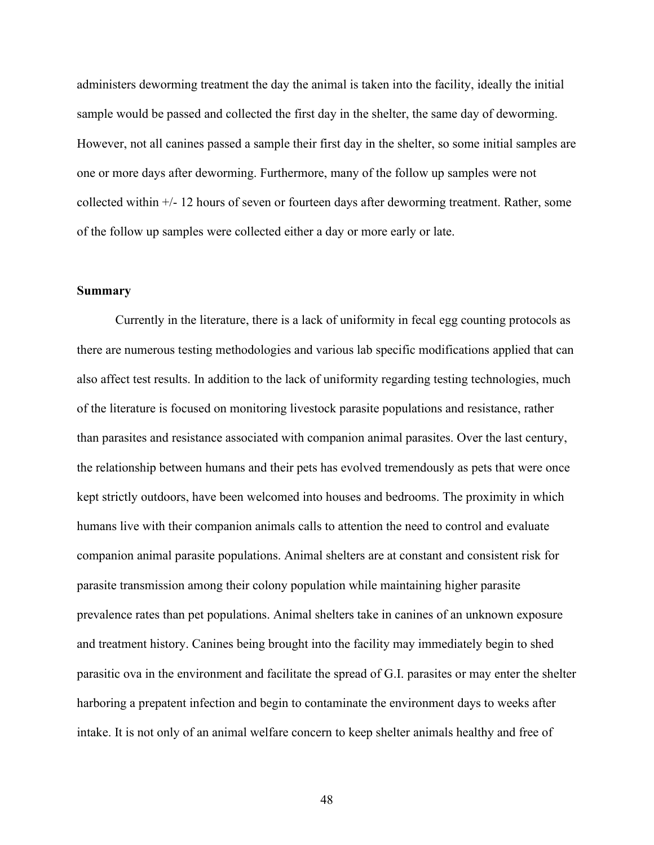administers deworming treatment the day the animal is taken into the facility, ideally the initial sample would be passed and collected the first day in the shelter, the same day of deworming. However, not all canines passed a sample their first day in the shelter, so some initial samples are one or more days after deworming. Furthermore, many of the follow up samples were not collected within +/- 12 hours of seven or fourteen days after deworming treatment. Rather, some of the follow up samples were collected either a day or more early or late.

## **Summary**

Currently in the literature, there is a lack of uniformity in fecal egg counting protocols as there are numerous testing methodologies and various lab specific modifications applied that can also affect test results. In addition to the lack of uniformity regarding testing technologies, much of the literature is focused on monitoring livestock parasite populations and resistance, rather than parasites and resistance associated with companion animal parasites. Over the last century, the relationship between humans and their pets has evolved tremendously as pets that were once kept strictly outdoors, have been welcomed into houses and bedrooms. The proximity in which humans live with their companion animals calls to attention the need to control and evaluate companion animal parasite populations. Animal shelters are at constant and consistent risk for parasite transmission among their colony population while maintaining higher parasite prevalence rates than pet populations. Animal shelters take in canines of an unknown exposure and treatment history. Canines being brought into the facility may immediately begin to shed parasitic ova in the environment and facilitate the spread of G.I. parasites or may enter the shelter harboring a prepatent infection and begin to contaminate the environment days to weeks after intake. It is not only of an animal welfare concern to keep shelter animals healthy and free of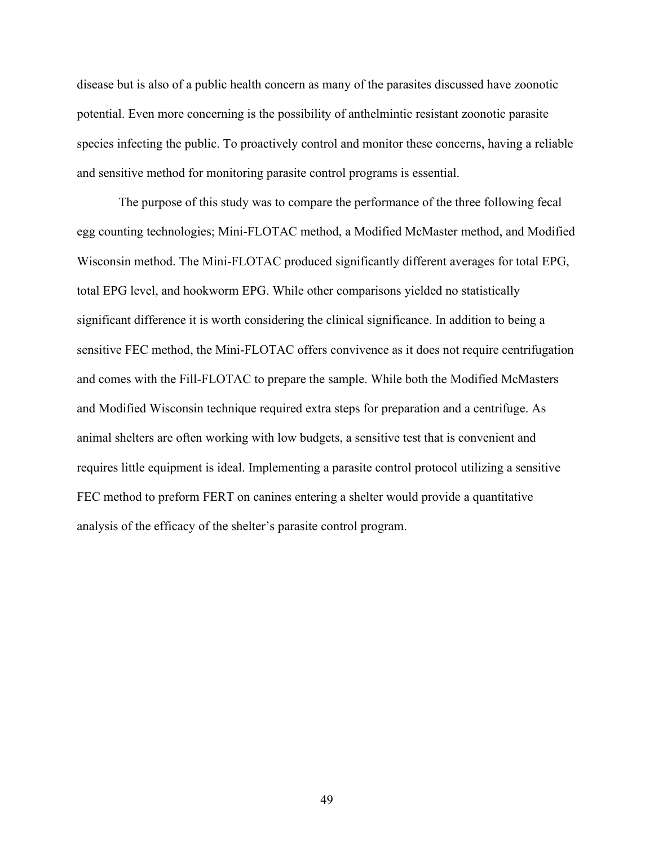disease but is also of a public health concern as many of the parasites discussed have zoonotic potential. Even more concerning is the possibility of anthelmintic resistant zoonotic parasite species infecting the public. To proactively control and monitor these concerns, having a reliable and sensitive method for monitoring parasite control programs is essential.

The purpose of this study was to compare the performance of the three following fecal egg counting technologies; Mini-FLOTAC method, a Modified McMaster method, and Modified Wisconsin method. The Mini-FLOTAC produced significantly different averages for total EPG, total EPG level, and hookworm EPG. While other comparisons yielded no statistically significant difference it is worth considering the clinical significance. In addition to being a sensitive FEC method, the Mini-FLOTAC offers convivence as it does not require centrifugation and comes with the Fill-FLOTAC to prepare the sample. While both the Modified McMasters and Modified Wisconsin technique required extra steps for preparation and a centrifuge. As animal shelters are often working with low budgets, a sensitive test that is convenient and requires little equipment is ideal. Implementing a parasite control protocol utilizing a sensitive FEC method to preform FERT on canines entering a shelter would provide a quantitative analysis of the efficacy of the shelter's parasite control program.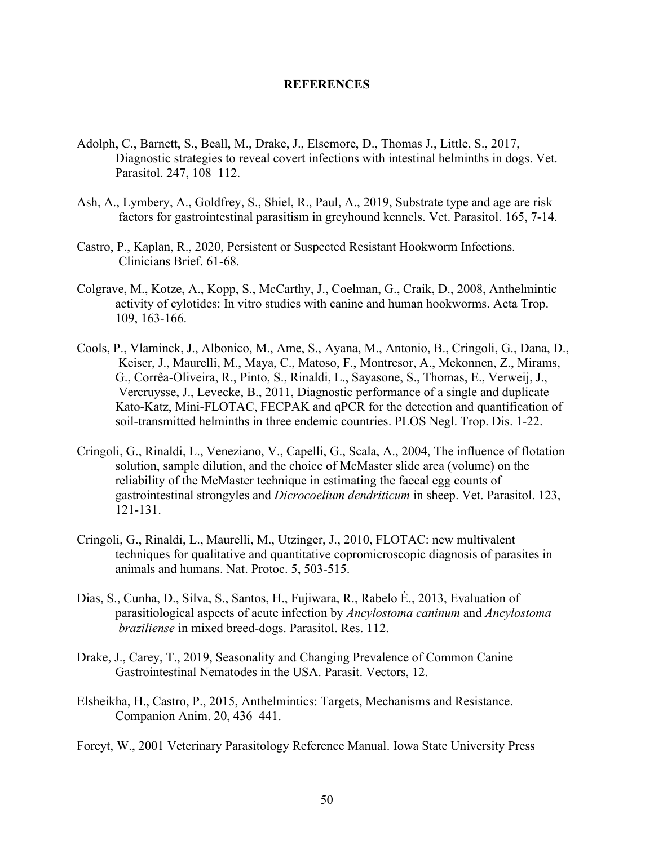#### **REFERENCES**

- Adolph, C., Barnett, S., Beall, M., Drake, J., Elsemore, D., Thomas J., Little, S., 2017, Diagnostic strategies to reveal covert infections with intestinal helminths in dogs. Vet. Parasitol. 247, 108–112.
- Ash, A., Lymbery, A., Goldfrey, S., Shiel, R., Paul, A., 2019, Substrate type and age are risk factors for gastrointestinal parasitism in greyhound kennels. Vet. Parasitol. 165, 7-14.
- Castro, P., Kaplan, R., 2020, Persistent or Suspected Resistant Hookworm Infections. Clinicians Brief. 61-68.
- Colgrave, M., Kotze, A., Kopp, S., McCarthy, J., Coelman, G., Craik, D., 2008, Anthelmintic activity of cylotides: In vitro studies with canine and human hookworms. Acta Trop. 109, 163-166.
- Cools, P., Vlaminck, J., Albonico, M., Ame, S., Ayana, M., Antonio, B., Cringoli, G., Dana, D., Keiser, J., Maurelli, M., Maya, C., Matoso, F., Montresor, A., Mekonnen, Z., Mirams, G., Corrêa-Oliveira, R., Pinto, S., Rinaldi, L., Sayasone, S., Thomas, E., Verweij, J., Vercruysse, J., Levecke, B., 2011, Diagnostic performance of a single and duplicate Kato-Katz, Mini-FLOTAC, FECPAK and qPCR for the detection and quantification of soil-transmitted helminths in three endemic countries. PLOS Negl. Trop. Dis. 1-22.
- Cringoli, G., Rinaldi, L., Veneziano, V., Capelli, G., Scala, A., 2004, The influence of flotation solution, sample dilution, and the choice of McMaster slide area (volume) on the reliability of the McMaster technique in estimating the faecal egg counts of gastrointestinal strongyles and *Dicrocoelium dendriticum* in sheep. Vet. Parasitol. 123, 121-131.
- Cringoli, G., Rinaldi, L., Maurelli, M., Utzinger, J., 2010, FLOTAC: new multivalent techniques for qualitative and quantitative copromicroscopic diagnosis of parasites in animals and humans. Nat. Protoc. 5, 503-515.
- Dias, S., Cunha, D., Silva, S., Santos, H., Fujiwara, R., Rabelo É., 2013, Evaluation of parasitiological aspects of acute infection by *Ancylostoma caninum* and *Ancylostoma braziliense* in mixed breed-dogs. Parasitol. Res. 112.
- Drake, J., Carey, T., 2019, Seasonality and Changing Prevalence of Common Canine Gastrointestinal Nematodes in the USA. Parasit. Vectors, 12.
- Elsheikha, H., Castro, P., 2015, Anthelmintics: Targets, Mechanisms and Resistance. Companion Anim. 20, 436–441.
- Foreyt, W., 2001 Veterinary Parasitology Reference Manual. Iowa State University Press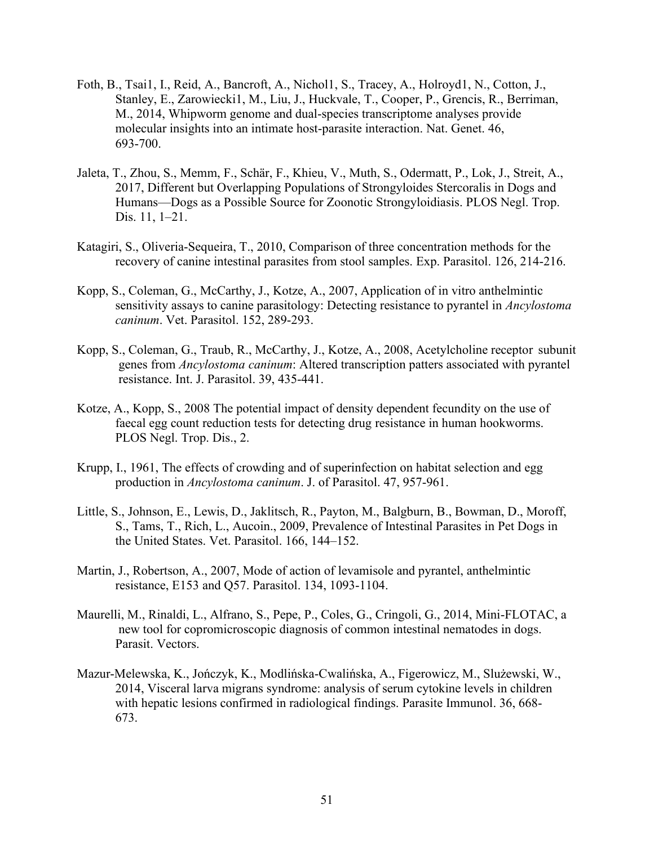- Foth, B., Tsai1, I., Reid, A., Bancroft, A., Nichol1, S., Tracey, A., Holroyd1, N., Cotton, J., Stanley, E., Zarowiecki1, M., Liu, J., Huckvale, T., Cooper, P., Grencis, R., Berriman, M., 2014, Whipworm genome and dual-species transcriptome analyses provide molecular insights into an intimate host-parasite interaction. Nat. Genet. 46, 693-700.
- Jaleta, T., Zhou, S., Memm, F., Schär, F., Khieu, V., Muth, S., Odermatt, P., Lok, J., Streit, A., 2017, Different but Overlapping Populations of Strongyloides Stercoralis in Dogs and Humans—Dogs as a Possible Source for Zoonotic Strongyloidiasis. PLOS Negl. Trop. Dis. 11, 1–21.
- Katagiri, S., Oliveria-Sequeira, T., 2010, Comparison of three concentration methods for the recovery of canine intestinal parasites from stool samples. Exp. Parasitol. 126, 214-216.
- Kopp, S., Coleman, G., McCarthy, J., Kotze, A., 2007, Application of in vitro anthelmintic sensitivity assays to canine parasitology: Detecting resistance to pyrantel in *Ancylostoma caninum*. Vet. Parasitol. 152, 289-293.
- Kopp, S., Coleman, G., Traub, R., McCarthy, J., Kotze, A., 2008, Acetylcholine receptor subunit genes from *Ancylostoma caninum*: Altered transcription patters associated with pyrantel resistance. Int. J. Parasitol. 39, 435-441.
- Kotze, A., Kopp, S., 2008 The potential impact of density dependent fecundity on the use of faecal egg count reduction tests for detecting drug resistance in human hookworms. PLOS Negl. Trop. Dis., 2.
- Krupp, I., 1961, The effects of crowding and of superinfection on habitat selection and egg production in *Ancylostoma caninum*. J. of Parasitol. 47, 957-961.
- Little, S., Johnson, E., Lewis, D., Jaklitsch, R., Payton, M., Balgburn, B., Bowman, D., Moroff, S., Tams, T., Rich, L., Aucoin., 2009, Prevalence of Intestinal Parasites in Pet Dogs in the United States. Vet. Parasitol. 166, 144–152.
- Martin, J., Robertson, A., 2007, Mode of action of levamisole and pyrantel, anthelmintic resistance, E153 and Q57. Parasitol. 134, 1093-1104.
- Maurelli, M., Rinaldi, L., Alfrano, S., Pepe, P., Coles, G., Cringoli, G., 2014, Mini-FLOTAC, a new tool for copromicroscopic diagnosis of common intestinal nematodes in dogs. Parasit. Vectors.
- Mazur-Melewska, K., Jończyk, K., Modlińska-Cwalińska, A., Figerowicz, M., Slużewski, W., 2014, Visceral larva migrans syndrome: analysis of serum cytokine levels in children with hepatic lesions confirmed in radiological findings. Parasite Immunol. 36, 668- 673.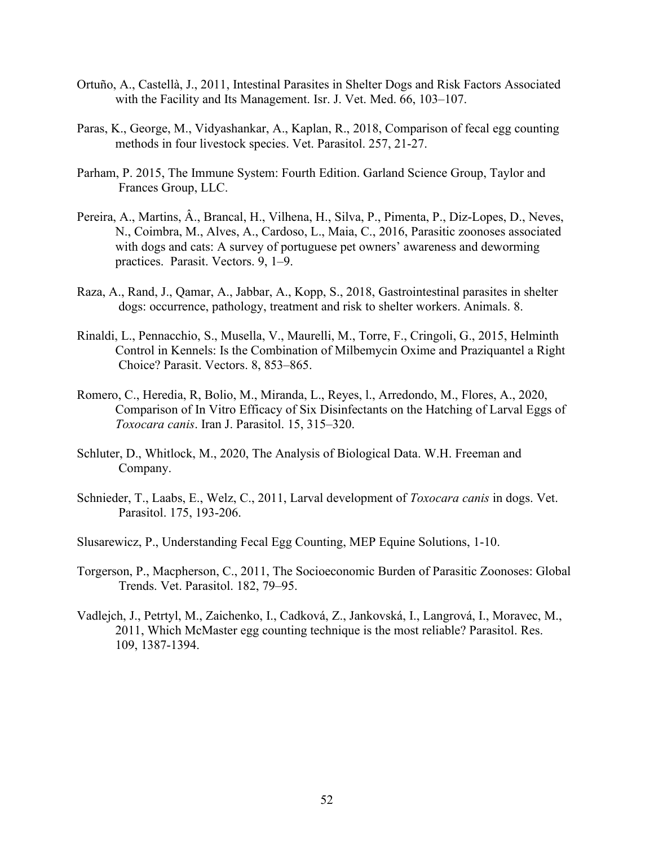- Ortuño, A., Castellà, J., 2011, Intestinal Parasites in Shelter Dogs and Risk Factors Associated with the Facility and Its Management. Isr. J. Vet. Med. 66, 103–107.
- Paras, K., George, M., Vidyashankar, A., Kaplan, R., 2018, Comparison of fecal egg counting methods in four livestock species. Vet. Parasitol. 257, 21-27.
- Parham, P. 2015, The Immune System: Fourth Edition. Garland Science Group, Taylor and Frances Group, LLC.
- Pereira, A., Martins, Â., Brancal, H., Vilhena, H., Silva, P., Pimenta, P., Diz-Lopes, D., Neves, N., Coimbra, M., Alves, A., Cardoso, L., Maia, C., 2016, Parasitic zoonoses associated with dogs and cats: A survey of portuguese pet owners' awareness and deworming practices. Parasit. Vectors. 9, 1–9.
- Raza, A., Rand, J., Qamar, A., Jabbar, A., Kopp, S., 2018, Gastrointestinal parasites in shelter dogs: occurrence, pathology, treatment and risk to shelter workers. Animals. 8.
- Rinaldi, L., Pennacchio, S., Musella, V., Maurelli, M., Torre, F., Cringoli, G., 2015, Helminth Control in Kennels: Is the Combination of Milbemycin Oxime and Praziquantel a Right Choice? Parasit. Vectors. 8, 853–865.
- Romero, C., Heredia, R, Bolio, M., Miranda, L., Reyes, l., Arredondo, M., Flores, A., 2020, Comparison of In Vitro Efficacy of Six Disinfectants on the Hatching of Larval Eggs of *Toxocara canis*. Iran J. Parasitol. 15, 315–320.
- Schluter, D., Whitlock, M., 2020, The Analysis of Biological Data. W.H. Freeman and Company.
- Schnieder, T., Laabs, E., Welz, C., 2011, Larval development of *Toxocara canis* in dogs. Vet. Parasitol. 175, 193-206.
- Slusarewicz, P., Understanding Fecal Egg Counting, MEP Equine Solutions, 1-10.
- Torgerson, P., Macpherson, C., 2011, The Socioeconomic Burden of Parasitic Zoonoses: Global Trends. Vet. Parasitol. 182, 79–95.
- Vadlejch, J., Petrtyl, M., Zaichenko, I., Cadková, Z., Jankovská, I., Langrová, I., Moravec, M., 2011, Which McMaster egg counting technique is the most reliable? Parasitol. Res. 109, 1387-1394.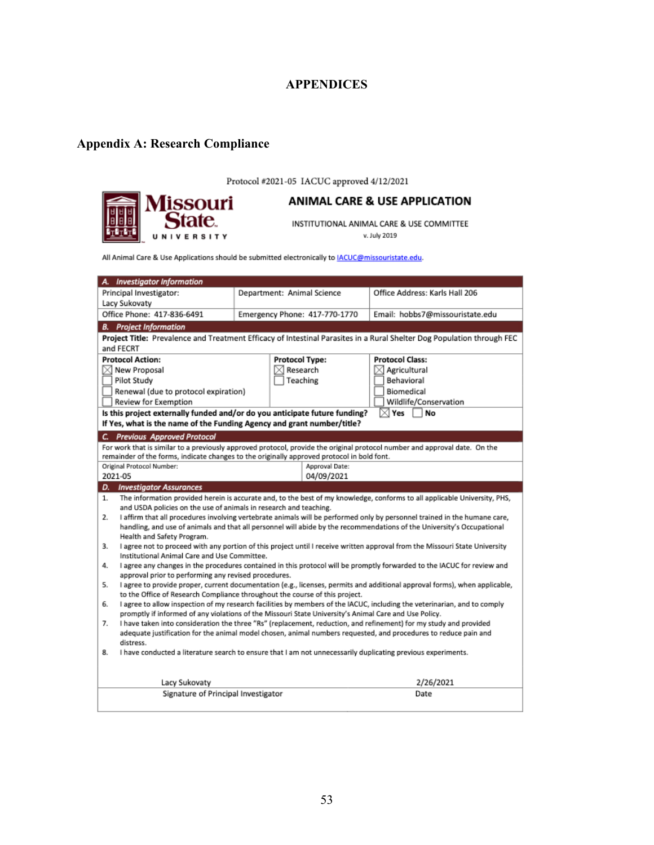# **APPENDICES**

# **Appendix A: Research Compliance**



Protocol #2021-05 IACUC approved 4/12/2021

## **ANIMAL CARE & USE APPLICATION**

INSTITUTIONAL ANIMAL CARE & USE COMMITTEE v. July 2019

All Animal Care & Use Applications should be submitted electronically to **IACUC@missouristate.edu**.

| Investigator Information<br>А.                                                                                                                                                    |                                                                                                                 |                                                                                                                            |  |  |  |
|-----------------------------------------------------------------------------------------------------------------------------------------------------------------------------------|-----------------------------------------------------------------------------------------------------------------|----------------------------------------------------------------------------------------------------------------------------|--|--|--|
| Principal Investigator:                                                                                                                                                           | Department: Animal Science                                                                                      | Office Address: Karls Hall 206                                                                                             |  |  |  |
| Lacy Sukovaty                                                                                                                                                                     |                                                                                                                 |                                                                                                                            |  |  |  |
| Office Phone: 417-836-6491                                                                                                                                                        | Emergency Phone: 417-770-1770                                                                                   | Email: hobbs7@missouristate.edu                                                                                            |  |  |  |
| <b>Project Information</b><br>В.                                                                                                                                                  |                                                                                                                 |                                                                                                                            |  |  |  |
|                                                                                                                                                                                   |                                                                                                                 | Project Title: Prevalence and Treatment Efficacy of Intestinal Parasites in a Rural Shelter Dog Population through FEC     |  |  |  |
| and FECRT                                                                                                                                                                         |                                                                                                                 |                                                                                                                            |  |  |  |
| <b>Protocol Action:</b>                                                                                                                                                           | <b>Protocol Type:</b>                                                                                           | <b>Protocol Class:</b>                                                                                                     |  |  |  |
| New Proposal                                                                                                                                                                      | Research                                                                                                        | Agricultural                                                                                                               |  |  |  |
| Pilot Study                                                                                                                                                                       | Teaching                                                                                                        | Behavioral                                                                                                                 |  |  |  |
| Renewal (due to protocol expiration)                                                                                                                                              |                                                                                                                 | Biomedical                                                                                                                 |  |  |  |
| Review for Exemption                                                                                                                                                              |                                                                                                                 | Wildlife/Conservation                                                                                                      |  |  |  |
|                                                                                                                                                                                   | Is this project externally funded and/or do you anticipate future funding?                                      | Yes<br>No                                                                                                                  |  |  |  |
|                                                                                                                                                                                   | If Yes, what is the name of the Funding Agency and grant number/title?                                          |                                                                                                                            |  |  |  |
| C. Previous Approved Protocol                                                                                                                                                     |                                                                                                                 |                                                                                                                            |  |  |  |
|                                                                                                                                                                                   |                                                                                                                 | For work that is similar to a previously approved protocol, provide the original protocol number and approval date. On the |  |  |  |
|                                                                                                                                                                                   | remainder of the forms, indicate changes to the originally approved protocol in bold font.                      |                                                                                                                            |  |  |  |
| Original Protocol Number:                                                                                                                                                         | Approval Date:                                                                                                  |                                                                                                                            |  |  |  |
| 2021-05                                                                                                                                                                           | 04/09/2021                                                                                                      |                                                                                                                            |  |  |  |
| D.<br><b>Investigator Assurances</b>                                                                                                                                              |                                                                                                                 |                                                                                                                            |  |  |  |
| The information provided herein is accurate and, to the best of my knowledge, conforms to all applicable University, PHS,<br>1.                                                   |                                                                                                                 |                                                                                                                            |  |  |  |
| and USDA policies on the use of animals in research and teaching.                                                                                                                 |                                                                                                                 |                                                                                                                            |  |  |  |
| 2.                                                                                                                                                                                |                                                                                                                 | I affirm that all procedures involving vertebrate animals will be performed only by personnel trained in the humane care,  |  |  |  |
| handling, and use of animals and that all personnel will abide by the recommendations of the University's Occupational                                                            |                                                                                                                 |                                                                                                                            |  |  |  |
| Health and Safety Program.                                                                                                                                                        |                                                                                                                 |                                                                                                                            |  |  |  |
| з.<br>I agree not to proceed with any portion of this project until I receive written approval from the Missouri State University<br>Institutional Animal Care and Use Committee. |                                                                                                                 |                                                                                                                            |  |  |  |
| I agree any changes in the procedures contained in this protocol will be promptly forwarded to the IACUC for review and<br>4.                                                     |                                                                                                                 |                                                                                                                            |  |  |  |
| approval prior to performing any revised procedures.                                                                                                                              |                                                                                                                 |                                                                                                                            |  |  |  |
| I agree to provide proper, current documentation (e.g., licenses, permits and additional approval forms), when applicable,<br>5.                                                  |                                                                                                                 |                                                                                                                            |  |  |  |
|                                                                                                                                                                                   | to the Office of Research Compliance throughout the course of this project.                                     |                                                                                                                            |  |  |  |
| 6.                                                                                                                                                                                |                                                                                                                 | I agree to allow inspection of my research facilities by members of the IACUC, including the veterinarian, and to comply   |  |  |  |
|                                                                                                                                                                                   | promptly if informed of any violations of the Missouri State University's Animal Care and Use Policy.           |                                                                                                                            |  |  |  |
| I have taken into consideration the three "Rs" (replacement, reduction, and refinement) for my study and provided<br>7.                                                           |                                                                                                                 |                                                                                                                            |  |  |  |
|                                                                                                                                                                                   | adequate justification for the animal model chosen, animal numbers requested, and procedures to reduce pain and |                                                                                                                            |  |  |  |
| distress.                                                                                                                                                                         |                                                                                                                 |                                                                                                                            |  |  |  |
| 8.                                                                                                                                                                                | I have conducted a literature search to ensure that I am not unnecessarily duplicating previous experiments.    |                                                                                                                            |  |  |  |
|                                                                                                                                                                                   |                                                                                                                 |                                                                                                                            |  |  |  |
| Lacy Sukovaty                                                                                                                                                                     |                                                                                                                 | 2/26/2021                                                                                                                  |  |  |  |
| Signature of Principal Investigator                                                                                                                                               |                                                                                                                 | Date                                                                                                                       |  |  |  |
|                                                                                                                                                                                   |                                                                                                                 |                                                                                                                            |  |  |  |
|                                                                                                                                                                                   |                                                                                                                 |                                                                                                                            |  |  |  |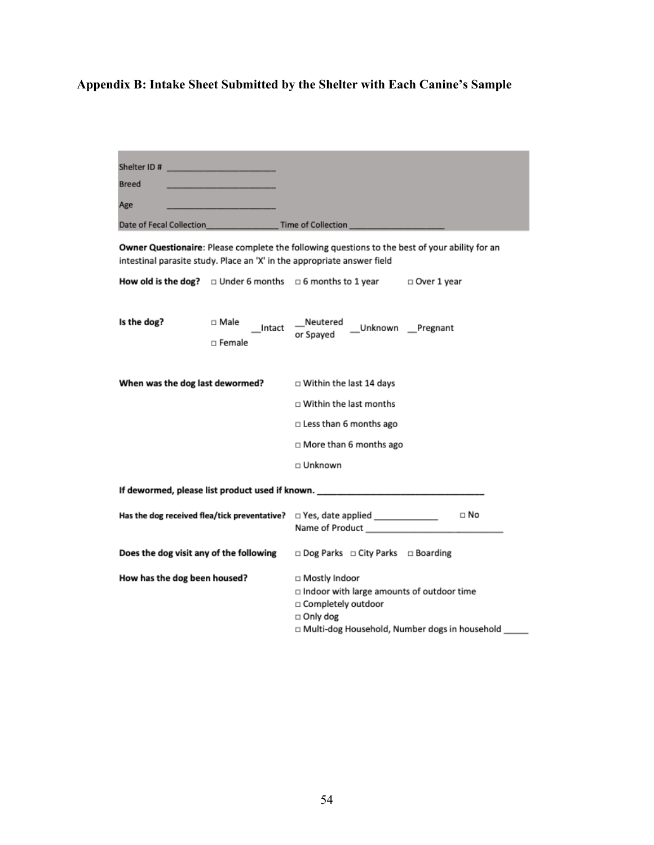**Appendix B: Intake Sheet Submitted by the Shelter with Each Canine's Sample**

| Shelter ID#<br><u> 1999 - John Harrison, mars et al.</u>                |                                                                                                                                                              |
|-------------------------------------------------------------------------|--------------------------------------------------------------------------------------------------------------------------------------------------------------|
| <b>Breed</b>                                                            |                                                                                                                                                              |
| Age                                                                     |                                                                                                                                                              |
|                                                                         |                                                                                                                                                              |
| Date of Fecal Collection Time of Collection                             |                                                                                                                                                              |
| intestinal parasite study. Place an 'X' in the appropriate answer field | Owner Questionaire: Please complete the following questions to the best of your ability for an                                                               |
| How old is the dog? $\Box$ Under 6 months $\Box$ 6 months to 1 year     | □ Over 1 year                                                                                                                                                |
|                                                                         |                                                                                                                                                              |
| Is the dog?<br>□ Male<br>Intact<br>$\Box$ Female                        | _Neutered<br>_Unknown _Pregnant<br>or Spayed                                                                                                                 |
| When was the dog last dewormed?                                         | □ Within the last 14 days                                                                                                                                    |
|                                                                         | $\Box$ Within the last months                                                                                                                                |
|                                                                         | $\Box$ Less than 6 months ago                                                                                                                                |
|                                                                         | $\Box$ More than 6 months ago                                                                                                                                |
|                                                                         | $\Box$ Unknown                                                                                                                                               |
|                                                                         | If dewormed, please list product used if known. ________________________________                                                                             |
| Has the dog received flea/tick preventative?                            | □ Yes, date applied ______________<br>□ No<br>Name of Product Name of Product                                                                                |
| Does the dog visit any of the following                                 | □ Dog Parks □ City Parks □ Boarding                                                                                                                          |
| How has the dog been housed?                                            | □ Mostly Indoor<br>□ Indoor with large amounts of outdoor time<br>□ Completely outdoor<br>$\Box$ Only dog<br>□ Multi-dog Household, Number dogs in household |